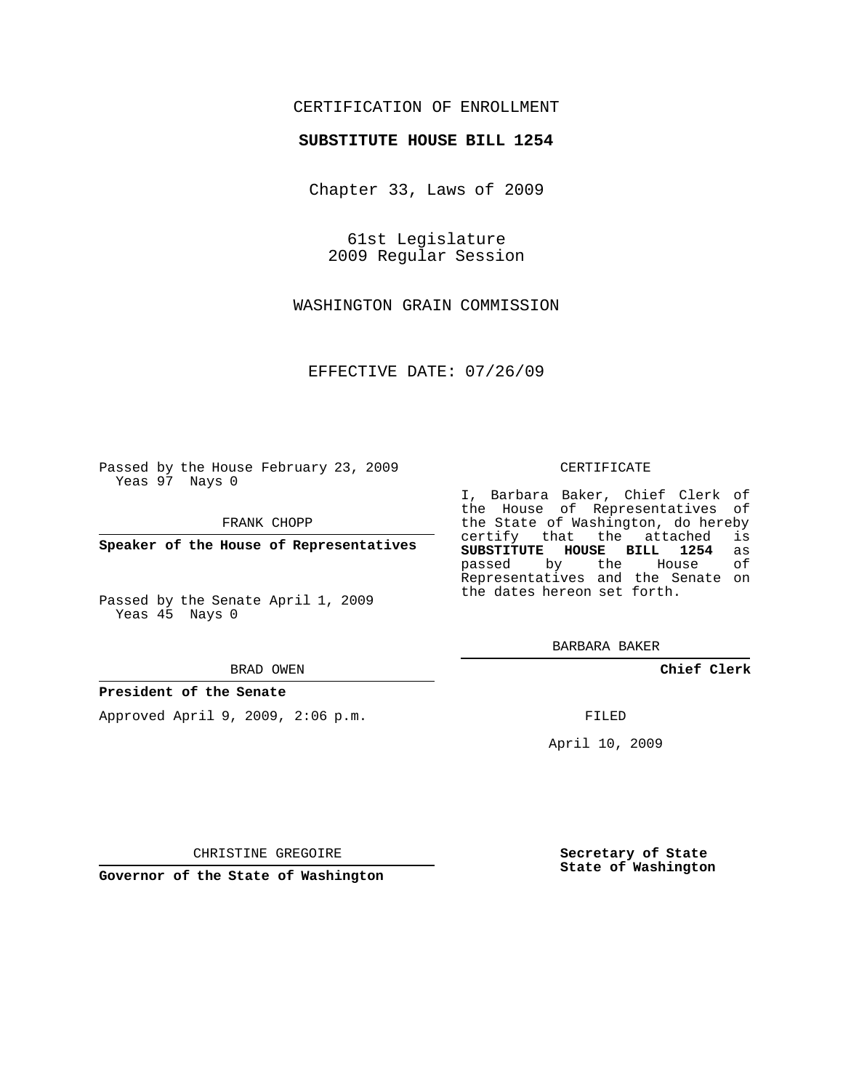## CERTIFICATION OF ENROLLMENT

## **SUBSTITUTE HOUSE BILL 1254**

Chapter 33, Laws of 2009

61st Legislature 2009 Regular Session

WASHINGTON GRAIN COMMISSION

EFFECTIVE DATE: 07/26/09

Passed by the House February 23, 2009 Yeas 97 Nays 0

FRANK CHOPP

**Speaker of the House of Representatives**

Passed by the Senate April 1, 2009 Yeas 45 Nays 0

BRAD OWEN

### **President of the Senate**

Approved April 9, 2009, 2:06 p.m.

#### CERTIFICATE

I, Barbara Baker, Chief Clerk of the House of Representatives of the State of Washington, do hereby<br>certify that the attached is certify that the attached **SUBSTITUTE HOUSE BILL 1254** as passed by the House of Representatives and the Senate on the dates hereon set forth.

BARBARA BAKER

**Chief Clerk**

FILED

April 10, 2009

CHRISTINE GREGOIRE

**Governor of the State of Washington**

**Secretary of State State of Washington**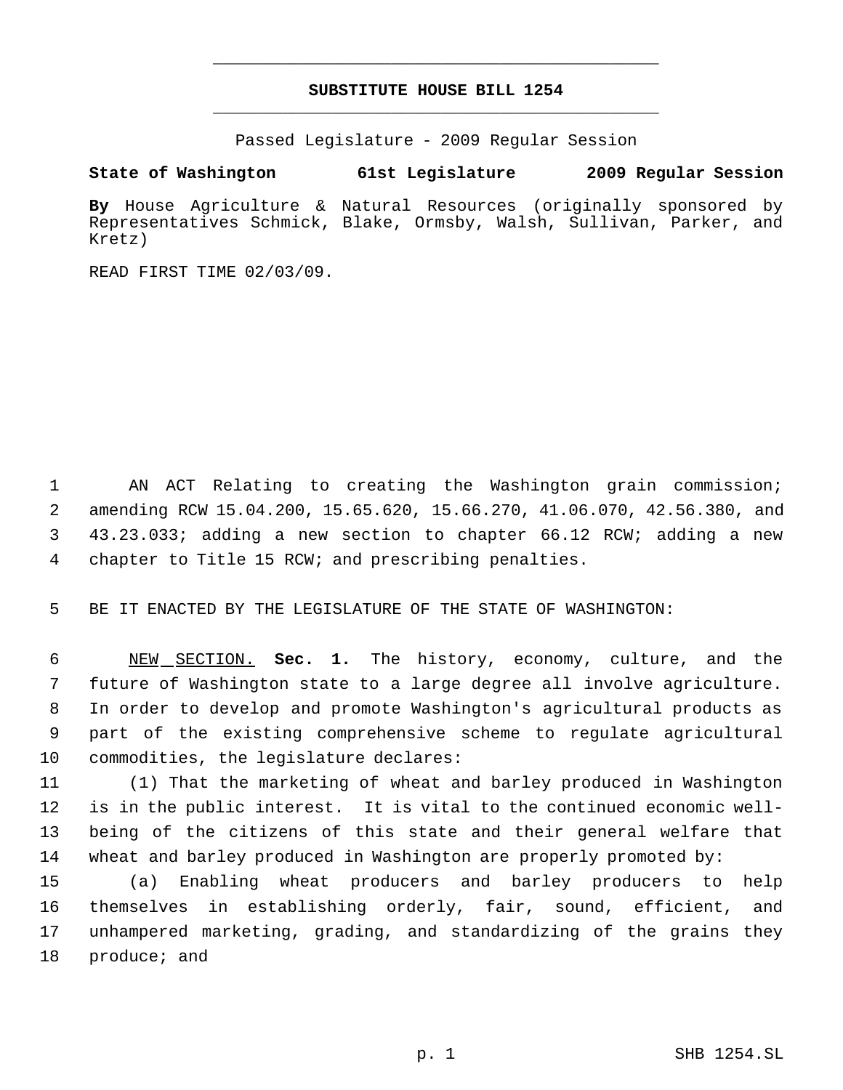# **SUBSTITUTE HOUSE BILL 1254** \_\_\_\_\_\_\_\_\_\_\_\_\_\_\_\_\_\_\_\_\_\_\_\_\_\_\_\_\_\_\_\_\_\_\_\_\_\_\_\_\_\_\_\_\_

\_\_\_\_\_\_\_\_\_\_\_\_\_\_\_\_\_\_\_\_\_\_\_\_\_\_\_\_\_\_\_\_\_\_\_\_\_\_\_\_\_\_\_\_\_

Passed Legislature - 2009 Regular Session

# **State of Washington 61st Legislature 2009 Regular Session**

**By** House Agriculture & Natural Resources (originally sponsored by Representatives Schmick, Blake, Ormsby, Walsh, Sullivan, Parker, and Kretz)

READ FIRST TIME 02/03/09.

 AN ACT Relating to creating the Washington grain commission; amending RCW 15.04.200, 15.65.620, 15.66.270, 41.06.070, 42.56.380, and 43.23.033; adding a new section to chapter 66.12 RCW; adding a new chapter to Title 15 RCW; and prescribing penalties.

BE IT ENACTED BY THE LEGISLATURE OF THE STATE OF WASHINGTON:

 NEW SECTION. **Sec. 1.** The history, economy, culture, and the future of Washington state to a large degree all involve agriculture. In order to develop and promote Washington's agricultural products as part of the existing comprehensive scheme to regulate agricultural commodities, the legislature declares:

 (1) That the marketing of wheat and barley produced in Washington is in the public interest. It is vital to the continued economic well- being of the citizens of this state and their general welfare that wheat and barley produced in Washington are properly promoted by:

 (a) Enabling wheat producers and barley producers to help themselves in establishing orderly, fair, sound, efficient, and unhampered marketing, grading, and standardizing of the grains they 18 produce; and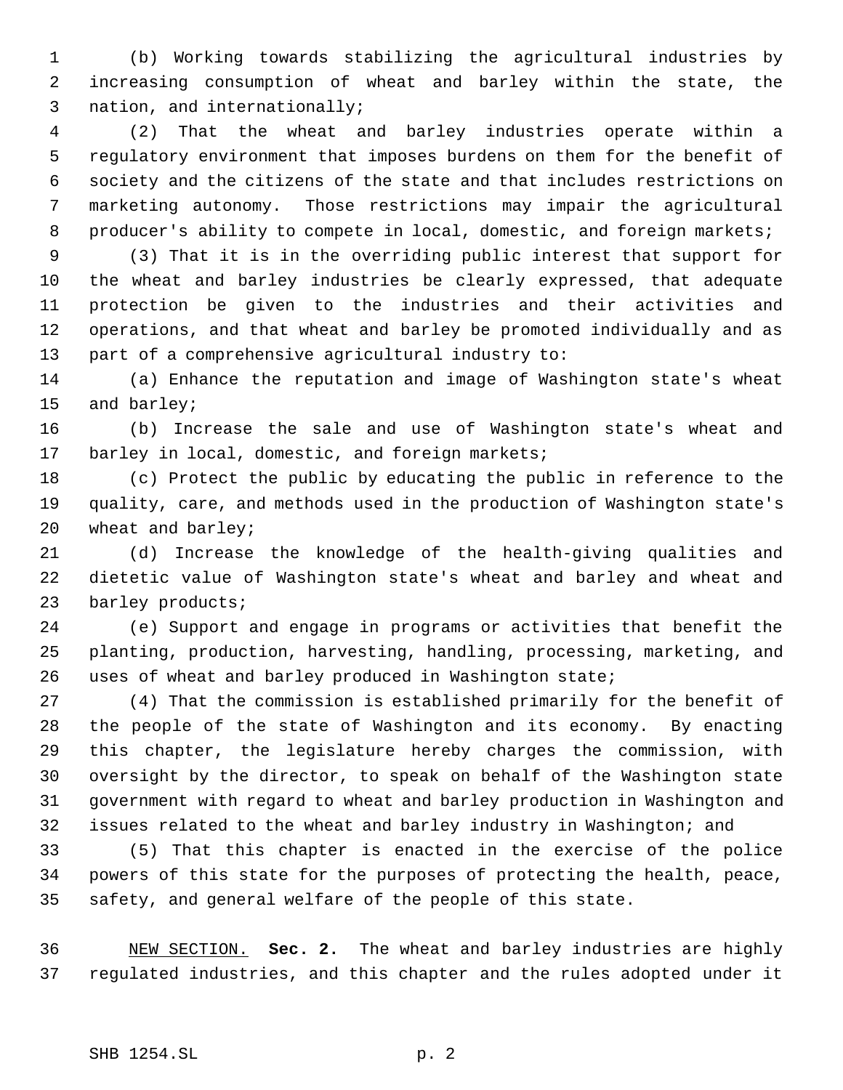(b) Working towards stabilizing the agricultural industries by increasing consumption of wheat and barley within the state, the nation, and internationally;

 (2) That the wheat and barley industries operate within a regulatory environment that imposes burdens on them for the benefit of society and the citizens of the state and that includes restrictions on marketing autonomy. Those restrictions may impair the agricultural 8 producer's ability to compete in local, domestic, and foreign markets;

 (3) That it is in the overriding public interest that support for the wheat and barley industries be clearly expressed, that adequate protection be given to the industries and their activities and operations, and that wheat and barley be promoted individually and as part of a comprehensive agricultural industry to:

 (a) Enhance the reputation and image of Washington state's wheat and barley;

 (b) Increase the sale and use of Washington state's wheat and 17 barley in local, domestic, and foreign markets;

 (c) Protect the public by educating the public in reference to the quality, care, and methods used in the production of Washington state's wheat and barley;

 (d) Increase the knowledge of the health-giving qualities and dietetic value of Washington state's wheat and barley and wheat and 23 barley products;

 (e) Support and engage in programs or activities that benefit the planting, production, harvesting, handling, processing, marketing, and uses of wheat and barley produced in Washington state;

 (4) That the commission is established primarily for the benefit of the people of the state of Washington and its economy. By enacting this chapter, the legislature hereby charges the commission, with oversight by the director, to speak on behalf of the Washington state government with regard to wheat and barley production in Washington and issues related to the wheat and barley industry in Washington; and

 (5) That this chapter is enacted in the exercise of the police powers of this state for the purposes of protecting the health, peace, safety, and general welfare of the people of this state.

 NEW SECTION. **Sec. 2.** The wheat and barley industries are highly regulated industries, and this chapter and the rules adopted under it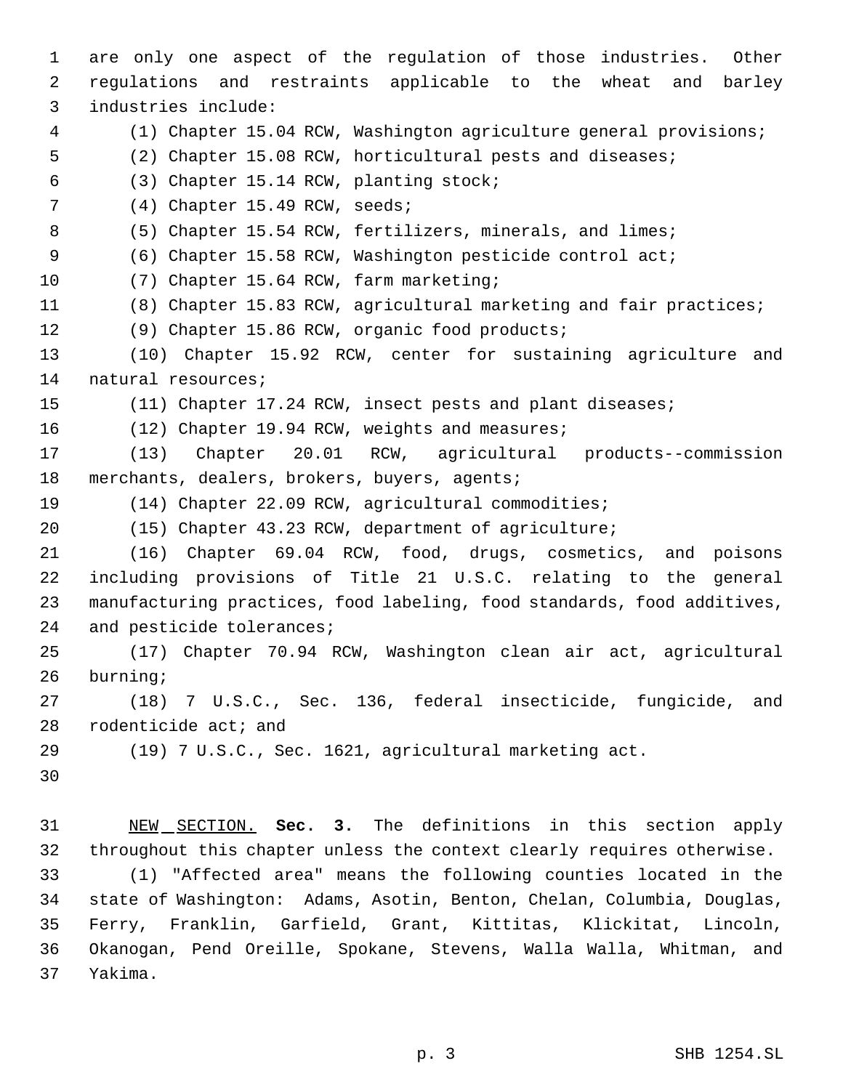are only one aspect of the regulation of those industries. Other regulations and restraints applicable to the wheat and barley industries include: (1) Chapter 15.04 RCW, Washington agriculture general provisions; (2) Chapter 15.08 RCW, horticultural pests and diseases; (3) Chapter 15.14 RCW, planting stock; 7 (4) Chapter 15.49 RCW, seeds; 8 (5) Chapter 15.54 RCW, fertilizers, minerals, and limes; (6) Chapter 15.58 RCW, Washington pesticide control act; (7) Chapter 15.64 RCW, farm marketing; (8) Chapter 15.83 RCW, agricultural marketing and fair practices; (9) Chapter 15.86 RCW, organic food products; (10) Chapter 15.92 RCW, center for sustaining agriculture and natural resources; (11) Chapter 17.24 RCW, insect pests and plant diseases; (12) Chapter 19.94 RCW, weights and measures; (13) Chapter 20.01 RCW, agricultural products--commission 18 merchants, dealers, brokers, buyers, agents; (14) Chapter 22.09 RCW, agricultural commodities; (15) Chapter 43.23 RCW, department of agriculture; (16) Chapter 69.04 RCW, food, drugs, cosmetics, and poisons including provisions of Title 21 U.S.C. relating to the general manufacturing practices, food labeling, food standards, food additives, 24 and pesticide tolerances; (17) Chapter 70.94 RCW, Washington clean air act, agricultural burning; (18) 7 U.S.C., Sec. 136, federal insecticide, fungicide, and rodenticide act; and (19) 7 U.S.C., Sec. 1621, agricultural marketing act. NEW SECTION. **Sec. 3.** The definitions in this section apply throughout this chapter unless the context clearly requires otherwise. (1) "Affected area" means the following counties located in the state of Washington: Adams, Asotin, Benton, Chelan, Columbia, Douglas, Ferry, Franklin, Garfield, Grant, Kittitas, Klickitat, Lincoln, Okanogan, Pend Oreille, Spokane, Stevens, Walla Walla, Whitman, and

Yakima.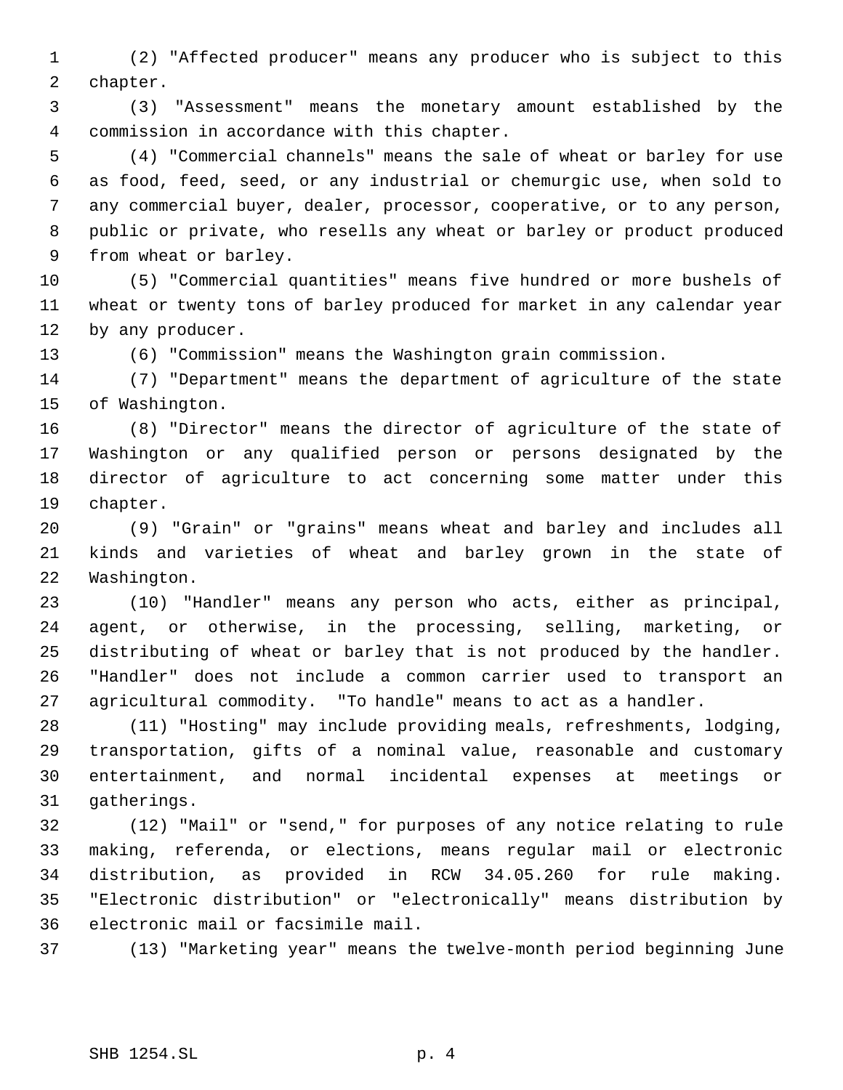(2) "Affected producer" means any producer who is subject to this chapter.

 (3) "Assessment" means the monetary amount established by the commission in accordance with this chapter.

 (4) "Commercial channels" means the sale of wheat or barley for use as food, feed, seed, or any industrial or chemurgic use, when sold to any commercial buyer, dealer, processor, cooperative, or to any person, public or private, who resells any wheat or barley or product produced from wheat or barley.

 (5) "Commercial quantities" means five hundred or more bushels of wheat or twenty tons of barley produced for market in any calendar year by any producer.

(6) "Commission" means the Washington grain commission.

 (7) "Department" means the department of agriculture of the state of Washington.

 (8) "Director" means the director of agriculture of the state of Washington or any qualified person or persons designated by the director of agriculture to act concerning some matter under this chapter.

 (9) "Grain" or "grains" means wheat and barley and includes all kinds and varieties of wheat and barley grown in the state of Washington.

 (10) "Handler" means any person who acts, either as principal, agent, or otherwise, in the processing, selling, marketing, or distributing of wheat or barley that is not produced by the handler. "Handler" does not include a common carrier used to transport an agricultural commodity. "To handle" means to act as a handler.

 (11) "Hosting" may include providing meals, refreshments, lodging, transportation, gifts of a nominal value, reasonable and customary entertainment, and normal incidental expenses at meetings or gatherings.

 (12) "Mail" or "send," for purposes of any notice relating to rule making, referenda, or elections, means regular mail or electronic distribution, as provided in RCW 34.05.260 for rule making. "Electronic distribution" or "electronically" means distribution by electronic mail or facsimile mail.

(13) "Marketing year" means the twelve-month period beginning June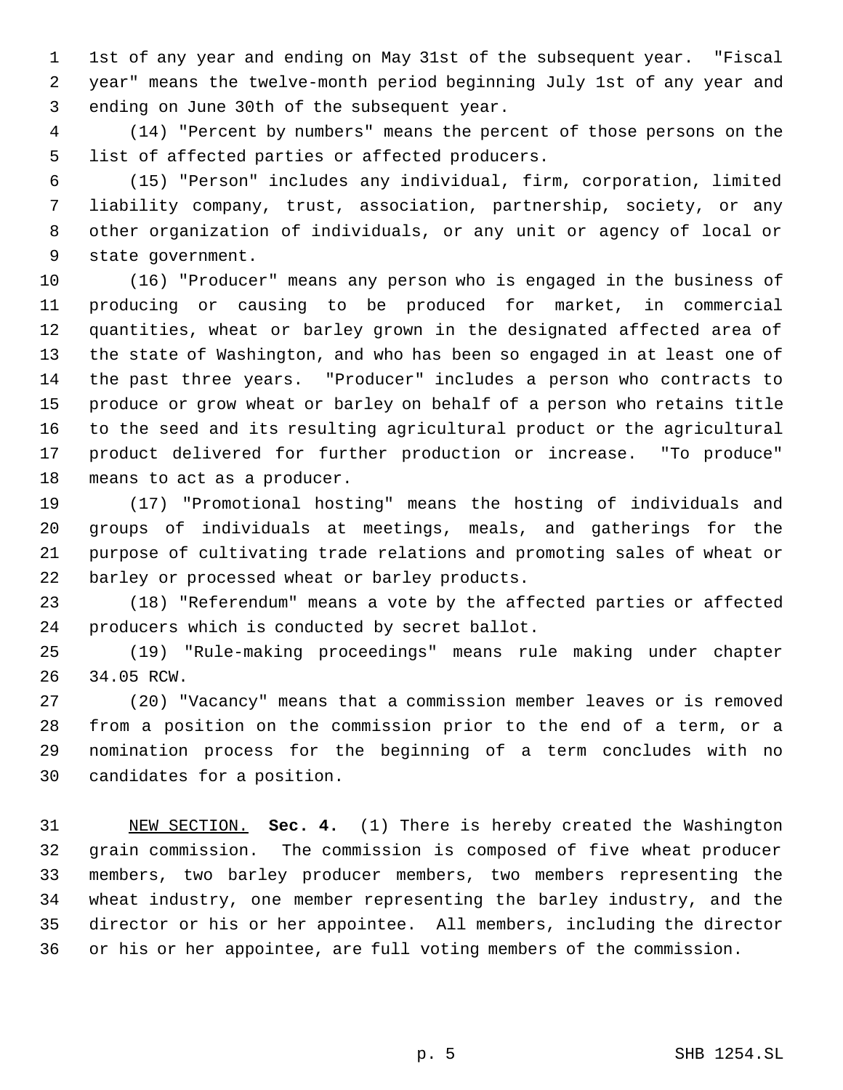1st of any year and ending on May 31st of the subsequent year. "Fiscal year" means the twelve-month period beginning July 1st of any year and ending on June 30th of the subsequent year.

 (14) "Percent by numbers" means the percent of those persons on the list of affected parties or affected producers.

 (15) "Person" includes any individual, firm, corporation, limited liability company, trust, association, partnership, society, or any other organization of individuals, or any unit or agency of local or state government.

 (16) "Producer" means any person who is engaged in the business of producing or causing to be produced for market, in commercial quantities, wheat or barley grown in the designated affected area of the state of Washington, and who has been so engaged in at least one of the past three years. "Producer" includes a person who contracts to produce or grow wheat or barley on behalf of a person who retains title to the seed and its resulting agricultural product or the agricultural product delivered for further production or increase. "To produce" means to act as a producer.

 (17) "Promotional hosting" means the hosting of individuals and groups of individuals at meetings, meals, and gatherings for the purpose of cultivating trade relations and promoting sales of wheat or barley or processed wheat or barley products.

 (18) "Referendum" means a vote by the affected parties or affected producers which is conducted by secret ballot.

 (19) "Rule-making proceedings" means rule making under chapter 34.05 RCW.

 (20) "Vacancy" means that a commission member leaves or is removed from a position on the commission prior to the end of a term, or a nomination process for the beginning of a term concludes with no candidates for a position.

 NEW SECTION. **Sec. 4.** (1) There is hereby created the Washington grain commission. The commission is composed of five wheat producer members, two barley producer members, two members representing the wheat industry, one member representing the barley industry, and the director or his or her appointee. All members, including the director or his or her appointee, are full voting members of the commission.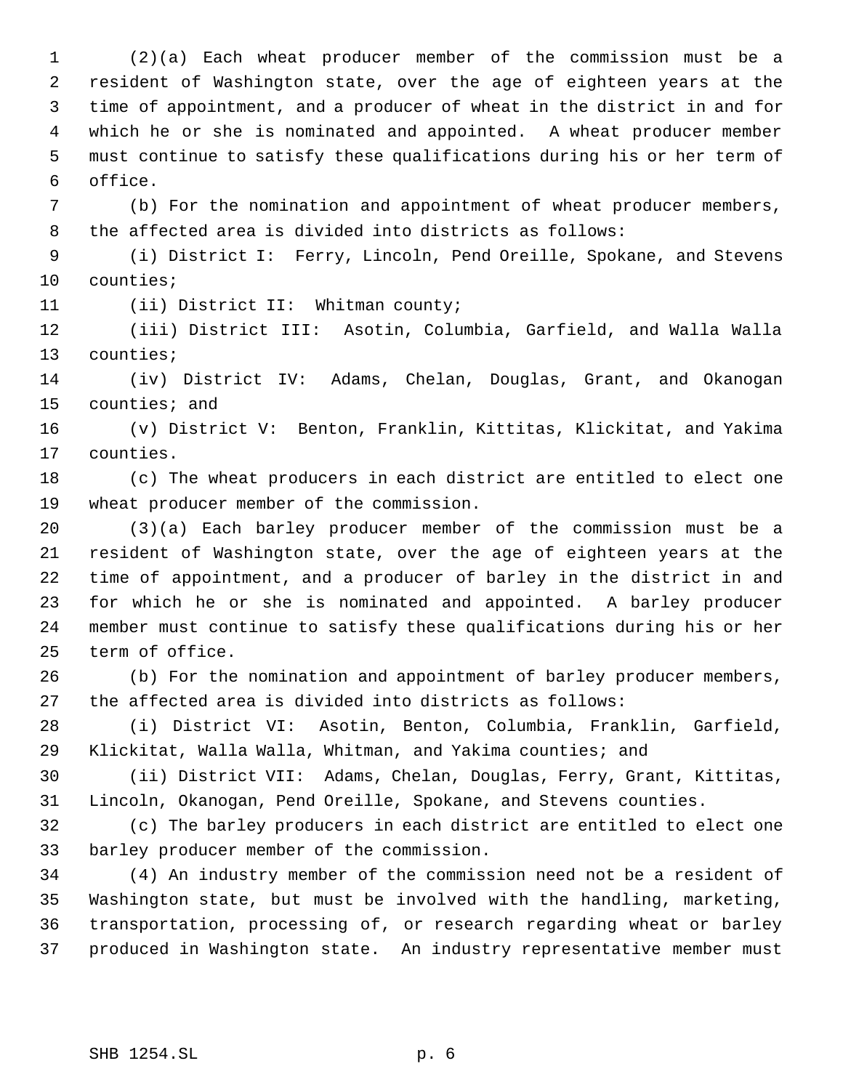(2)(a) Each wheat producer member of the commission must be a resident of Washington state, over the age of eighteen years at the time of appointment, and a producer of wheat in the district in and for which he or she is nominated and appointed. A wheat producer member must continue to satisfy these qualifications during his or her term of office.

 (b) For the nomination and appointment of wheat producer members, the affected area is divided into districts as follows:

 (i) District I: Ferry, Lincoln, Pend Oreille, Spokane, and Stevens counties;

11 (ii) District II: Whitman county;

 (iii) District III: Asotin, Columbia, Garfield, and Walla Walla counties;

 (iv) District IV: Adams, Chelan, Douglas, Grant, and Okanogan counties; and

 (v) District V: Benton, Franklin, Kittitas, Klickitat, and Yakima counties.

 (c) The wheat producers in each district are entitled to elect one wheat producer member of the commission.

 (3)(a) Each barley producer member of the commission must be a resident of Washington state, over the age of eighteen years at the time of appointment, and a producer of barley in the district in and for which he or she is nominated and appointed. A barley producer member must continue to satisfy these qualifications during his or her term of office.

 (b) For the nomination and appointment of barley producer members, the affected area is divided into districts as follows:

 (i) District VI: Asotin, Benton, Columbia, Franklin, Garfield, Klickitat, Walla Walla, Whitman, and Yakima counties; and

 (ii) District VII: Adams, Chelan, Douglas, Ferry, Grant, Kittitas, Lincoln, Okanogan, Pend Oreille, Spokane, and Stevens counties.

 (c) The barley producers in each district are entitled to elect one barley producer member of the commission.

 (4) An industry member of the commission need not be a resident of Washington state, but must be involved with the handling, marketing, transportation, processing of, or research regarding wheat or barley produced in Washington state. An industry representative member must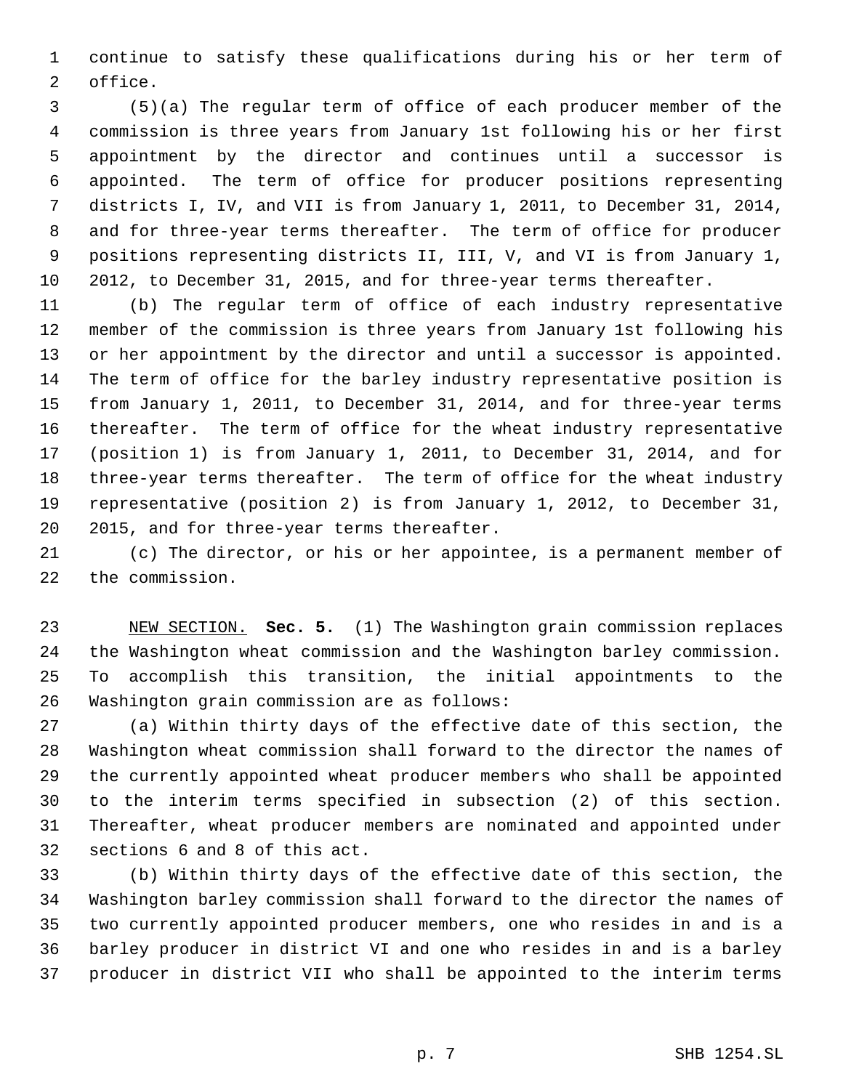continue to satisfy these qualifications during his or her term of office.

 (5)(a) The regular term of office of each producer member of the commission is three years from January 1st following his or her first appointment by the director and continues until a successor is appointed. The term of office for producer positions representing districts I, IV, and VII is from January 1, 2011, to December 31, 2014, and for three-year terms thereafter. The term of office for producer positions representing districts II, III, V, and VI is from January 1, 2012, to December 31, 2015, and for three-year terms thereafter.

 (b) The regular term of office of each industry representative member of the commission is three years from January 1st following his or her appointment by the director and until a successor is appointed. The term of office for the barley industry representative position is from January 1, 2011, to December 31, 2014, and for three-year terms thereafter. The term of office for the wheat industry representative (position 1) is from January 1, 2011, to December 31, 2014, and for three-year terms thereafter. The term of office for the wheat industry representative (position 2) is from January 1, 2012, to December 31, 2015, and for three-year terms thereafter.

 (c) The director, or his or her appointee, is a permanent member of the commission.

 NEW SECTION. **Sec. 5.** (1) The Washington grain commission replaces the Washington wheat commission and the Washington barley commission. To accomplish this transition, the initial appointments to the Washington grain commission are as follows:

 (a) Within thirty days of the effective date of this section, the Washington wheat commission shall forward to the director the names of the currently appointed wheat producer members who shall be appointed to the interim terms specified in subsection (2) of this section. Thereafter, wheat producer members are nominated and appointed under sections 6 and 8 of this act.

 (b) Within thirty days of the effective date of this section, the Washington barley commission shall forward to the director the names of two currently appointed producer members, one who resides in and is a barley producer in district VI and one who resides in and is a barley producer in district VII who shall be appointed to the interim terms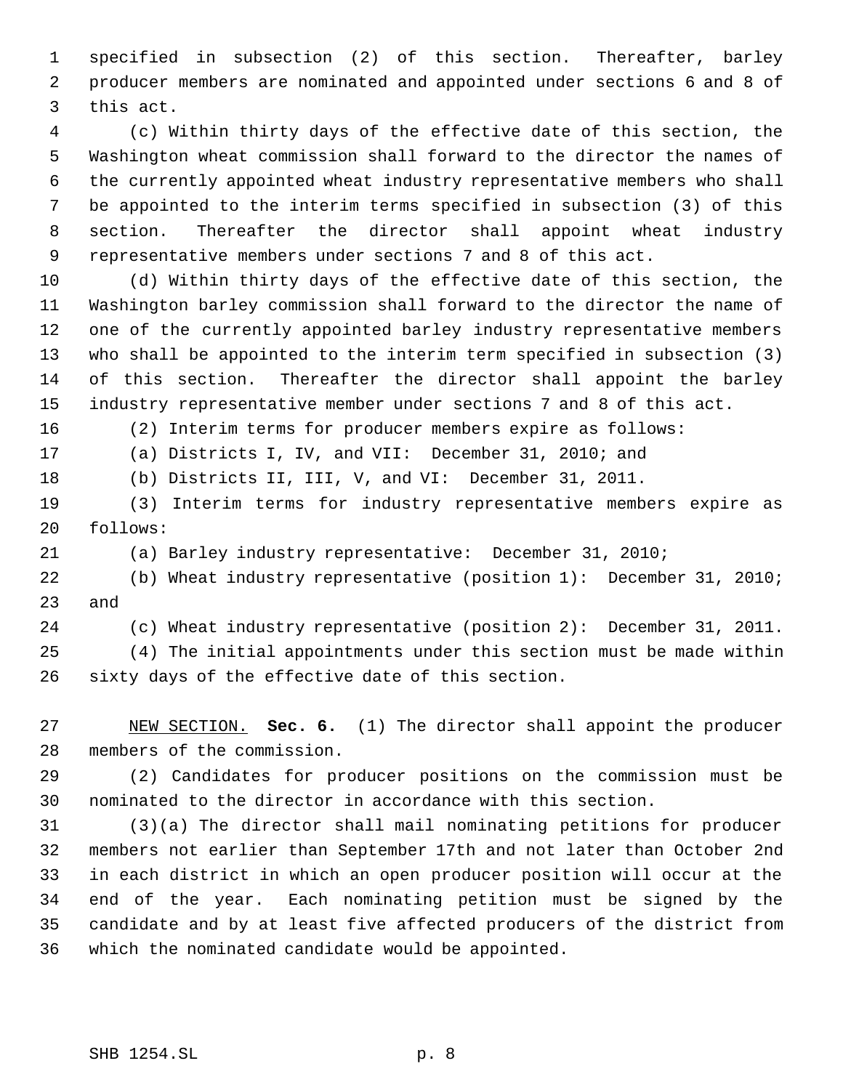specified in subsection (2) of this section. Thereafter, barley producer members are nominated and appointed under sections 6 and 8 of this act.

 (c) Within thirty days of the effective date of this section, the Washington wheat commission shall forward to the director the names of the currently appointed wheat industry representative members who shall be appointed to the interim terms specified in subsection (3) of this section. Thereafter the director shall appoint wheat industry representative members under sections 7 and 8 of this act.

 (d) Within thirty days of the effective date of this section, the Washington barley commission shall forward to the director the name of one of the currently appointed barley industry representative members who shall be appointed to the interim term specified in subsection (3) of this section. Thereafter the director shall appoint the barley industry representative member under sections 7 and 8 of this act.

(2) Interim terms for producer members expire as follows:

(a) Districts I, IV, and VII: December 31, 2010; and

(b) Districts II, III, V, and VI: December 31, 2011.

 (3) Interim terms for industry representative members expire as follows:

(a) Barley industry representative: December 31, 2010;

 (b) Wheat industry representative (position 1): December 31, 2010; and

(c) Wheat industry representative (position 2): December 31, 2011.

 (4) The initial appointments under this section must be made within sixty days of the effective date of this section.

 NEW SECTION. **Sec. 6.** (1) The director shall appoint the producer members of the commission.

 (2) Candidates for producer positions on the commission must be nominated to the director in accordance with this section.

 (3)(a) The director shall mail nominating petitions for producer members not earlier than September 17th and not later than October 2nd in each district in which an open producer position will occur at the end of the year. Each nominating petition must be signed by the candidate and by at least five affected producers of the district from which the nominated candidate would be appointed.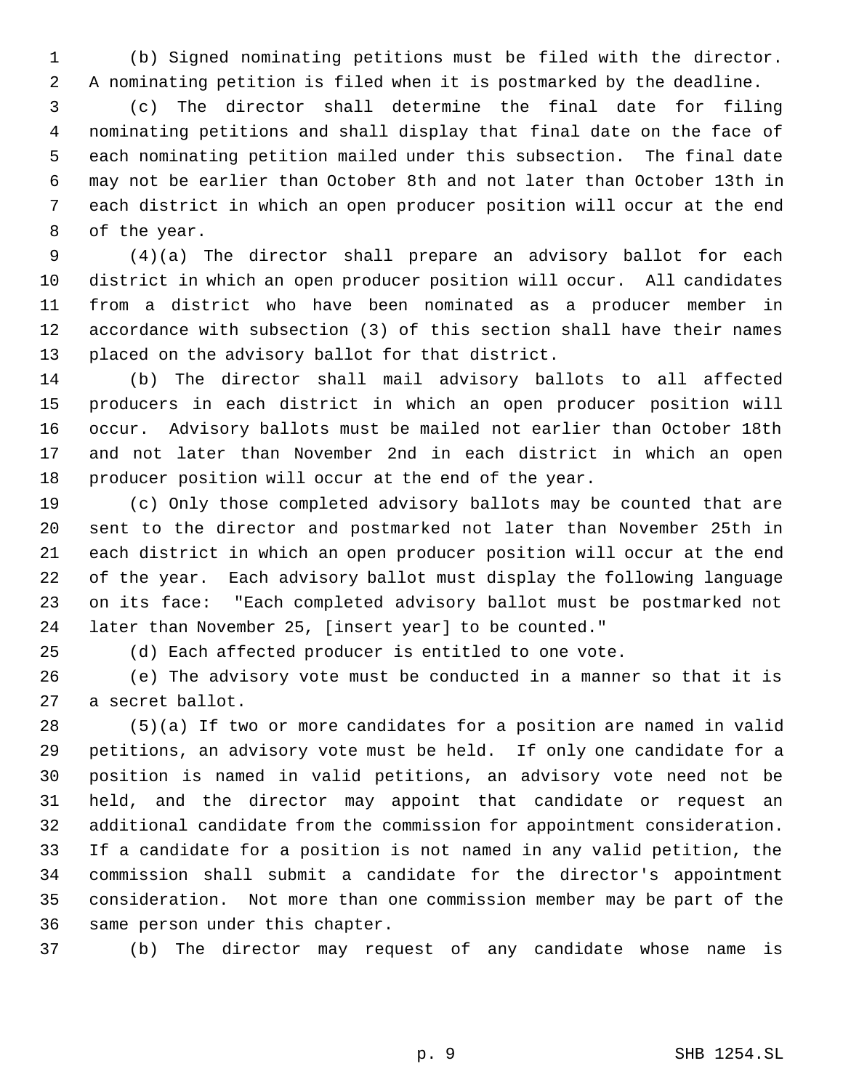(b) Signed nominating petitions must be filed with the director. A nominating petition is filed when it is postmarked by the deadline.

 (c) The director shall determine the final date for filing nominating petitions and shall display that final date on the face of each nominating petition mailed under this subsection. The final date may not be earlier than October 8th and not later than October 13th in each district in which an open producer position will occur at the end of the year.

 (4)(a) The director shall prepare an advisory ballot for each district in which an open producer position will occur. All candidates from a district who have been nominated as a producer member in accordance with subsection (3) of this section shall have their names placed on the advisory ballot for that district.

 (b) The director shall mail advisory ballots to all affected producers in each district in which an open producer position will occur. Advisory ballots must be mailed not earlier than October 18th and not later than November 2nd in each district in which an open producer position will occur at the end of the year.

 (c) Only those completed advisory ballots may be counted that are sent to the director and postmarked not later than November 25th in each district in which an open producer position will occur at the end of the year. Each advisory ballot must display the following language on its face: "Each completed advisory ballot must be postmarked not later than November 25, [insert year] to be counted."

(d) Each affected producer is entitled to one vote.

 (e) The advisory vote must be conducted in a manner so that it is a secret ballot.

 (5)(a) If two or more candidates for a position are named in valid petitions, an advisory vote must be held. If only one candidate for a position is named in valid petitions, an advisory vote need not be held, and the director may appoint that candidate or request an additional candidate from the commission for appointment consideration. If a candidate for a position is not named in any valid petition, the commission shall submit a candidate for the director's appointment consideration. Not more than one commission member may be part of the same person under this chapter.

(b) The director may request of any candidate whose name is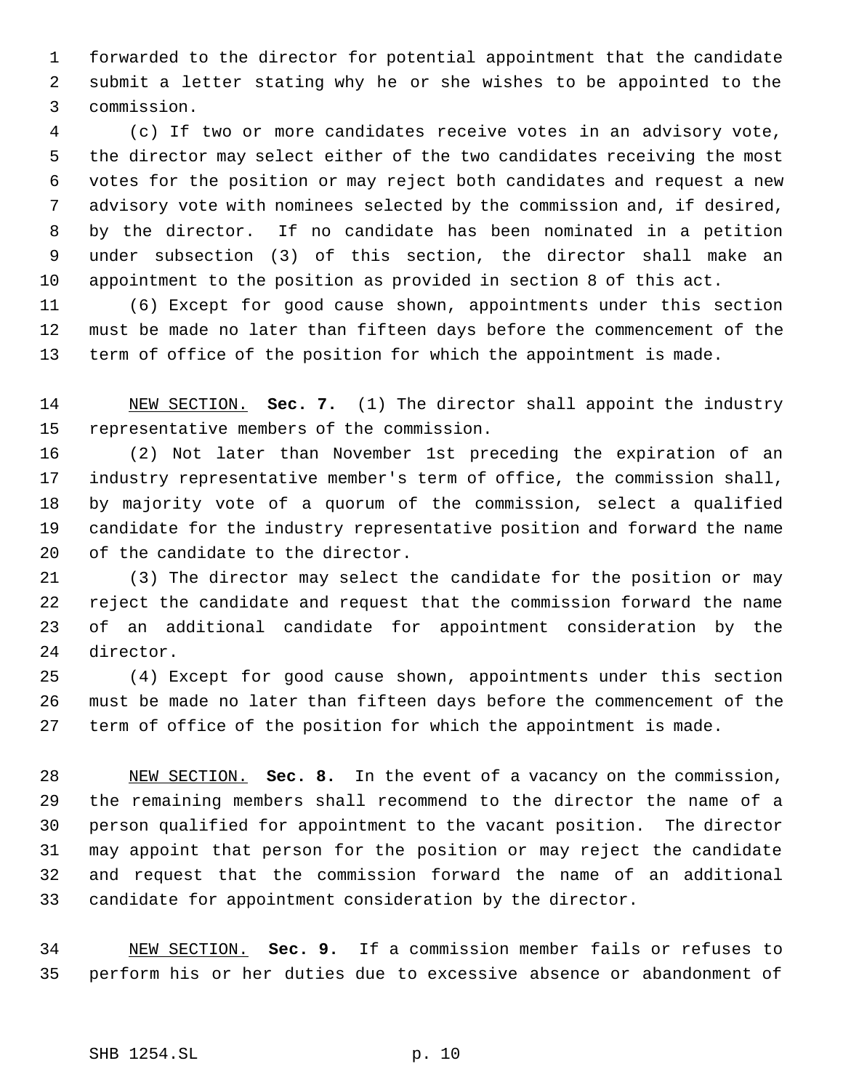forwarded to the director for potential appointment that the candidate submit a letter stating why he or she wishes to be appointed to the commission.

 (c) If two or more candidates receive votes in an advisory vote, the director may select either of the two candidates receiving the most votes for the position or may reject both candidates and request a new advisory vote with nominees selected by the commission and, if desired, by the director. If no candidate has been nominated in a petition under subsection (3) of this section, the director shall make an appointment to the position as provided in section 8 of this act.

 (6) Except for good cause shown, appointments under this section must be made no later than fifteen days before the commencement of the term of office of the position for which the appointment is made.

 NEW SECTION. **Sec. 7.** (1) The director shall appoint the industry representative members of the commission.

 (2) Not later than November 1st preceding the expiration of an industry representative member's term of office, the commission shall, by majority vote of a quorum of the commission, select a qualified candidate for the industry representative position and forward the name of the candidate to the director.

 (3) The director may select the candidate for the position or may reject the candidate and request that the commission forward the name of an additional candidate for appointment consideration by the director.

 (4) Except for good cause shown, appointments under this section must be made no later than fifteen days before the commencement of the term of office of the position for which the appointment is made.

 NEW SECTION. **Sec. 8.** In the event of a vacancy on the commission, the remaining members shall recommend to the director the name of a person qualified for appointment to the vacant position. The director may appoint that person for the position or may reject the candidate and request that the commission forward the name of an additional candidate for appointment consideration by the director.

 NEW SECTION. **Sec. 9.** If a commission member fails or refuses to perform his or her duties due to excessive absence or abandonment of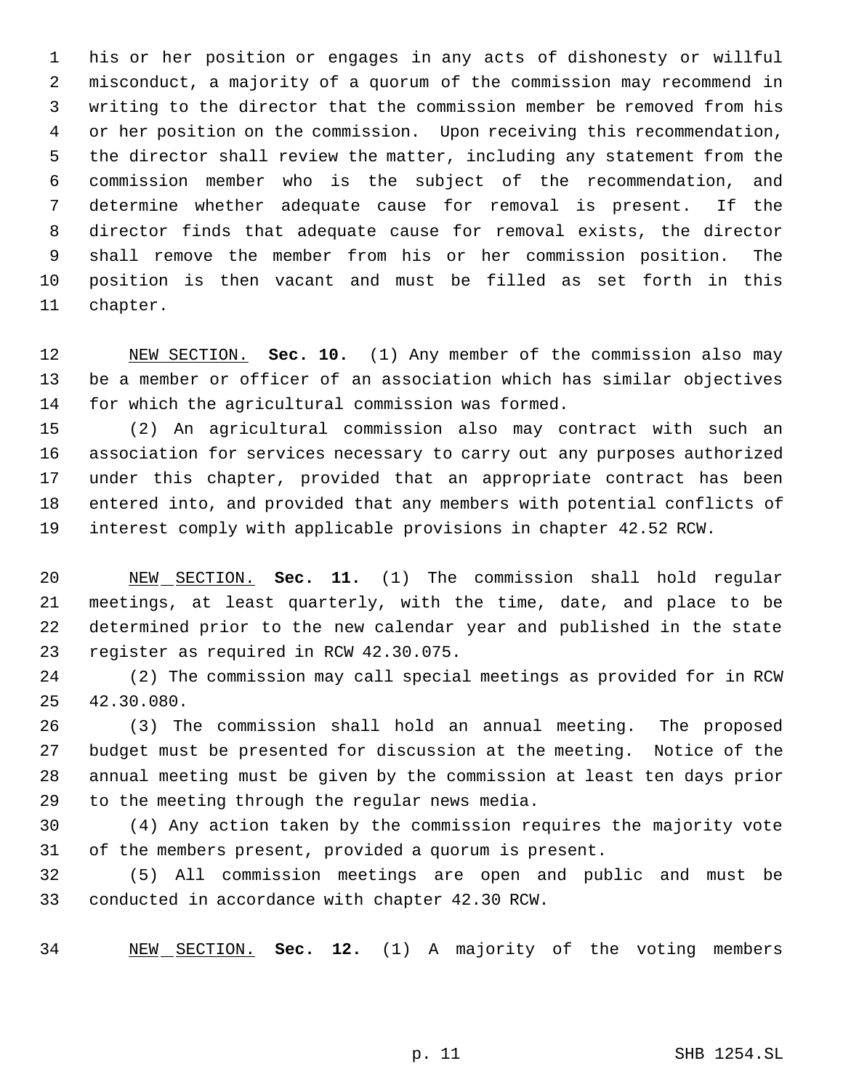his or her position or engages in any acts of dishonesty or willful misconduct, a majority of a quorum of the commission may recommend in writing to the director that the commission member be removed from his or her position on the commission. Upon receiving this recommendation, the director shall review the matter, including any statement from the commission member who is the subject of the recommendation, and determine whether adequate cause for removal is present. If the director finds that adequate cause for removal exists, the director shall remove the member from his or her commission position. The position is then vacant and must be filled as set forth in this chapter.

 NEW SECTION. **Sec. 10.** (1) Any member of the commission also may be a member or officer of an association which has similar objectives for which the agricultural commission was formed.

 (2) An agricultural commission also may contract with such an association for services necessary to carry out any purposes authorized under this chapter, provided that an appropriate contract has been entered into, and provided that any members with potential conflicts of interest comply with applicable provisions in chapter 42.52 RCW.

 NEW SECTION. **Sec. 11.** (1) The commission shall hold regular meetings, at least quarterly, with the time, date, and place to be determined prior to the new calendar year and published in the state register as required in RCW 42.30.075.

 (2) The commission may call special meetings as provided for in RCW 42.30.080.

 (3) The commission shall hold an annual meeting. The proposed budget must be presented for discussion at the meeting. Notice of the annual meeting must be given by the commission at least ten days prior to the meeting through the regular news media.

 (4) Any action taken by the commission requires the majority vote of the members present, provided a quorum is present.

 (5) All commission meetings are open and public and must be conducted in accordance with chapter 42.30 RCW.

NEW SECTION. **Sec. 12.** (1) A majority of the voting members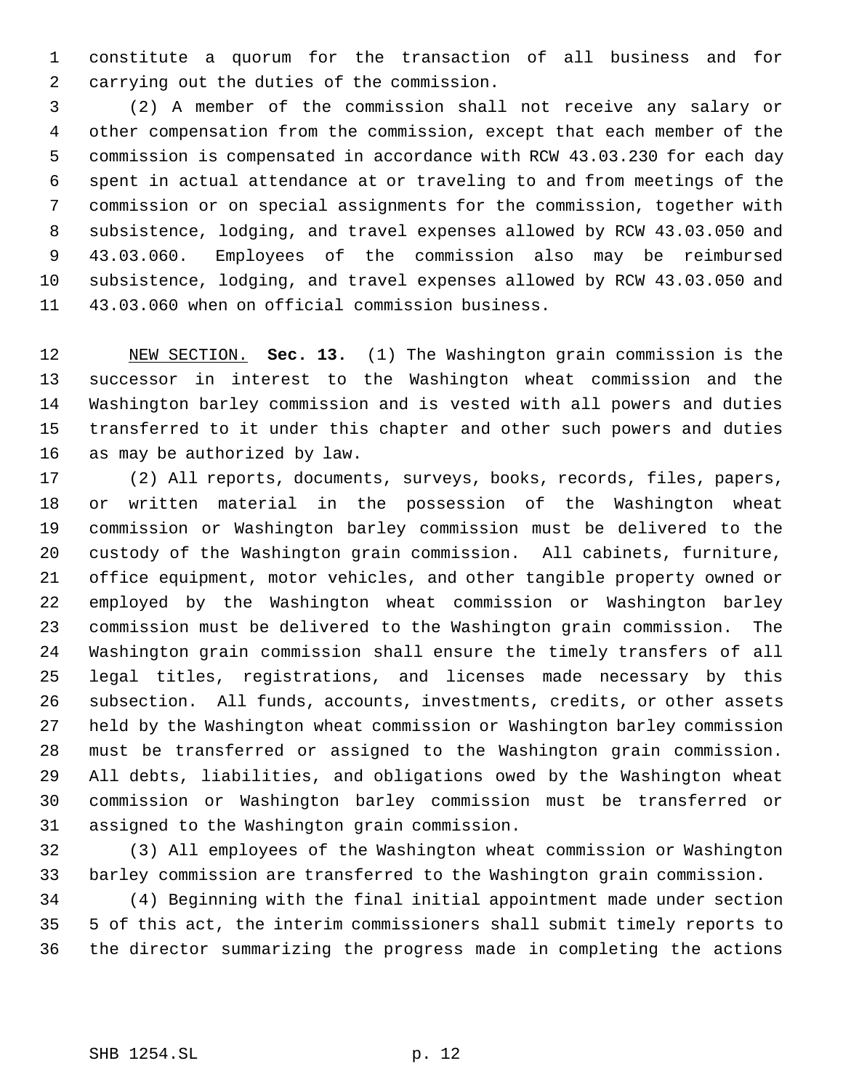constitute a quorum for the transaction of all business and for carrying out the duties of the commission.

 (2) A member of the commission shall not receive any salary or other compensation from the commission, except that each member of the commission is compensated in accordance with RCW 43.03.230 for each day spent in actual attendance at or traveling to and from meetings of the commission or on special assignments for the commission, together with subsistence, lodging, and travel expenses allowed by RCW 43.03.050 and 43.03.060. Employees of the commission also may be reimbursed subsistence, lodging, and travel expenses allowed by RCW 43.03.050 and 43.03.060 when on official commission business.

 NEW SECTION. **Sec. 13.** (1) The Washington grain commission is the successor in interest to the Washington wheat commission and the Washington barley commission and is vested with all powers and duties transferred to it under this chapter and other such powers and duties as may be authorized by law.

 (2) All reports, documents, surveys, books, records, files, papers, or written material in the possession of the Washington wheat commission or Washington barley commission must be delivered to the custody of the Washington grain commission. All cabinets, furniture, office equipment, motor vehicles, and other tangible property owned or employed by the Washington wheat commission or Washington barley commission must be delivered to the Washington grain commission. The Washington grain commission shall ensure the timely transfers of all legal titles, registrations, and licenses made necessary by this subsection. All funds, accounts, investments, credits, or other assets held by the Washington wheat commission or Washington barley commission must be transferred or assigned to the Washington grain commission. All debts, liabilities, and obligations owed by the Washington wheat commission or Washington barley commission must be transferred or assigned to the Washington grain commission.

 (3) All employees of the Washington wheat commission or Washington barley commission are transferred to the Washington grain commission.

 (4) Beginning with the final initial appointment made under section 5 of this act, the interim commissioners shall submit timely reports to the director summarizing the progress made in completing the actions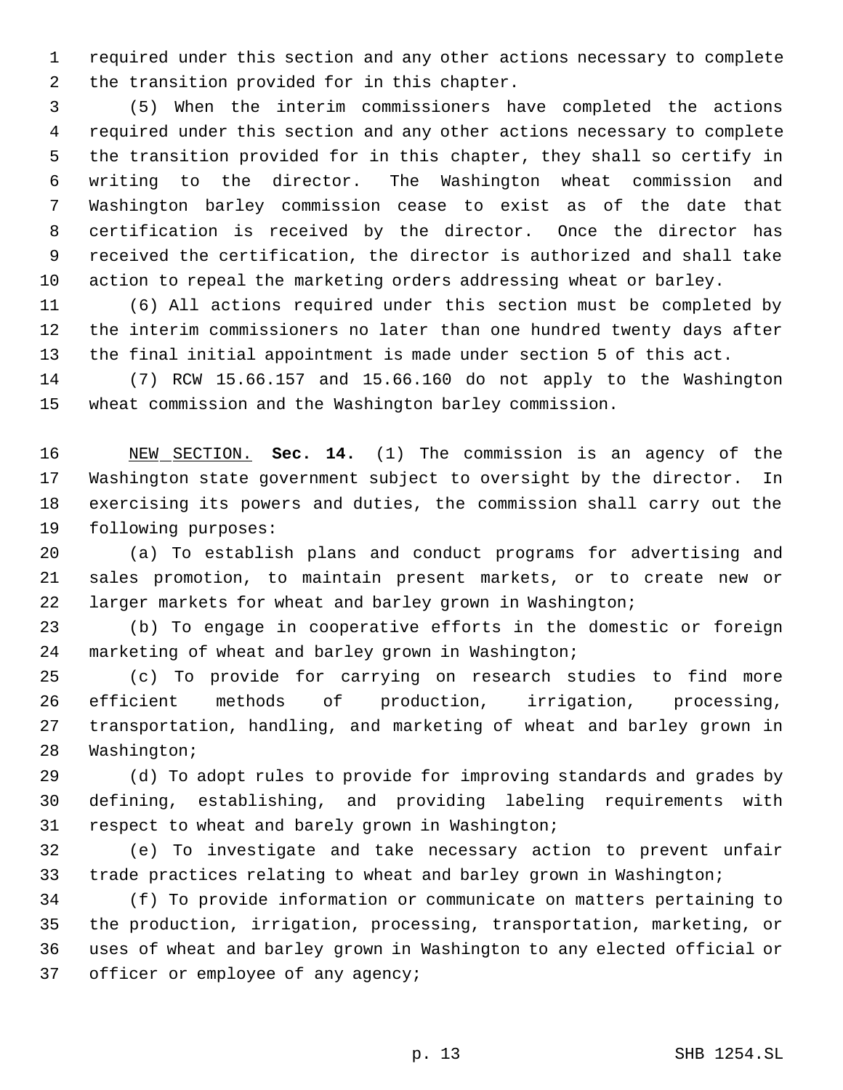required under this section and any other actions necessary to complete the transition provided for in this chapter.

 (5) When the interim commissioners have completed the actions required under this section and any other actions necessary to complete the transition provided for in this chapter, they shall so certify in writing to the director. The Washington wheat commission and Washington barley commission cease to exist as of the date that certification is received by the director. Once the director has received the certification, the director is authorized and shall take action to repeal the marketing orders addressing wheat or barley.

 (6) All actions required under this section must be completed by the interim commissioners no later than one hundred twenty days after the final initial appointment is made under section 5 of this act.

 (7) RCW 15.66.157 and 15.66.160 do not apply to the Washington wheat commission and the Washington barley commission.

 NEW SECTION. **Sec. 14.** (1) The commission is an agency of the Washington state government subject to oversight by the director. In exercising its powers and duties, the commission shall carry out the following purposes:

 (a) To establish plans and conduct programs for advertising and sales promotion, to maintain present markets, or to create new or larger markets for wheat and barley grown in Washington;

 (b) To engage in cooperative efforts in the domestic or foreign marketing of wheat and barley grown in Washington;

 (c) To provide for carrying on research studies to find more efficient methods of production, irrigation, processing, transportation, handling, and marketing of wheat and barley grown in Washington;

 (d) To adopt rules to provide for improving standards and grades by defining, establishing, and providing labeling requirements with respect to wheat and barely grown in Washington;

 (e) To investigate and take necessary action to prevent unfair trade practices relating to wheat and barley grown in Washington;

 (f) To provide information or communicate on matters pertaining to the production, irrigation, processing, transportation, marketing, or uses of wheat and barley grown in Washington to any elected official or 37 officer or employee of any agency;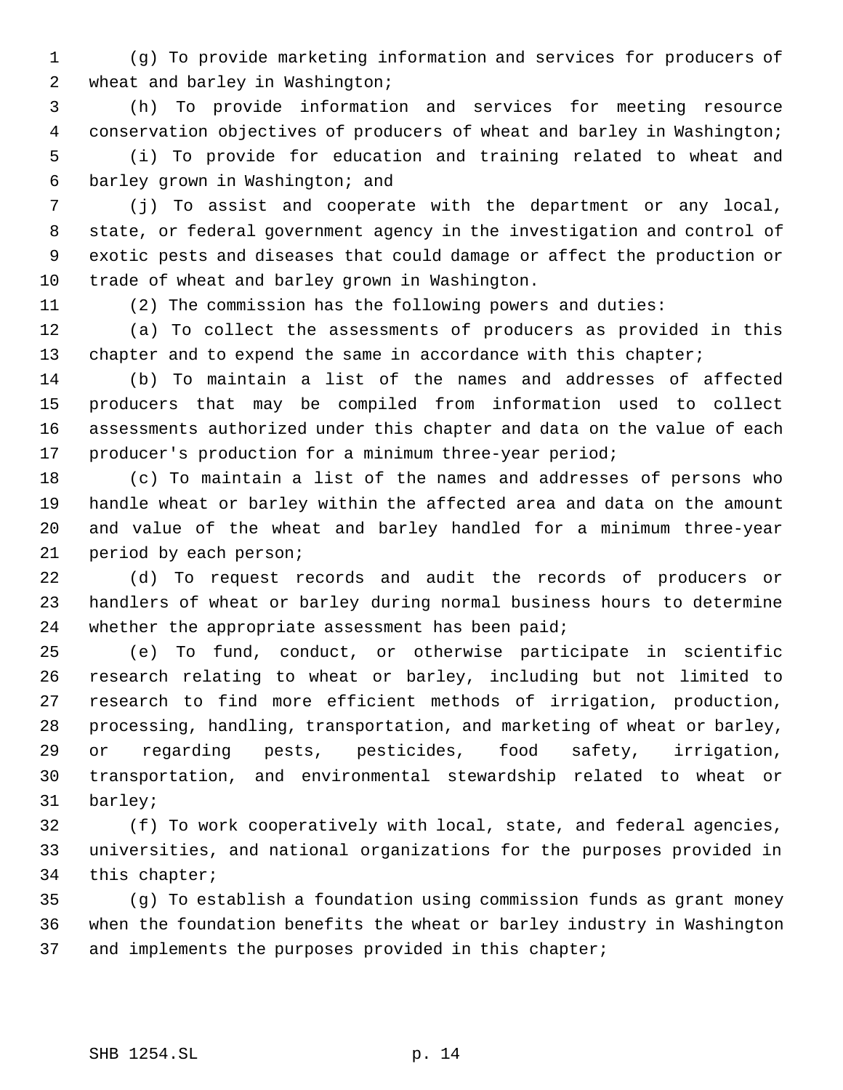(g) To provide marketing information and services for producers of wheat and barley in Washington;

 (h) To provide information and services for meeting resource conservation objectives of producers of wheat and barley in Washington; (i) To provide for education and training related to wheat and barley grown in Washington; and

 (j) To assist and cooperate with the department or any local, state, or federal government agency in the investigation and control of exotic pests and diseases that could damage or affect the production or trade of wheat and barley grown in Washington.

(2) The commission has the following powers and duties:

 (a) To collect the assessments of producers as provided in this 13 chapter and to expend the same in accordance with this chapter;

 (b) To maintain a list of the names and addresses of affected producers that may be compiled from information used to collect assessments authorized under this chapter and data on the value of each producer's production for a minimum three-year period;

 (c) To maintain a list of the names and addresses of persons who handle wheat or barley within the affected area and data on the amount and value of the wheat and barley handled for a minimum three-year period by each person;

 (d) To request records and audit the records of producers or handlers of wheat or barley during normal business hours to determine 24 whether the appropriate assessment has been paid;

 (e) To fund, conduct, or otherwise participate in scientific research relating to wheat or barley, including but not limited to research to find more efficient methods of irrigation, production, processing, handling, transportation, and marketing of wheat or barley, or regarding pests, pesticides, food safety, irrigation, transportation, and environmental stewardship related to wheat or barley;

 (f) To work cooperatively with local, state, and federal agencies, universities, and national organizations for the purposes provided in this chapter;

 (g) To establish a foundation using commission funds as grant money when the foundation benefits the wheat or barley industry in Washington 37 and implements the purposes provided in this chapter;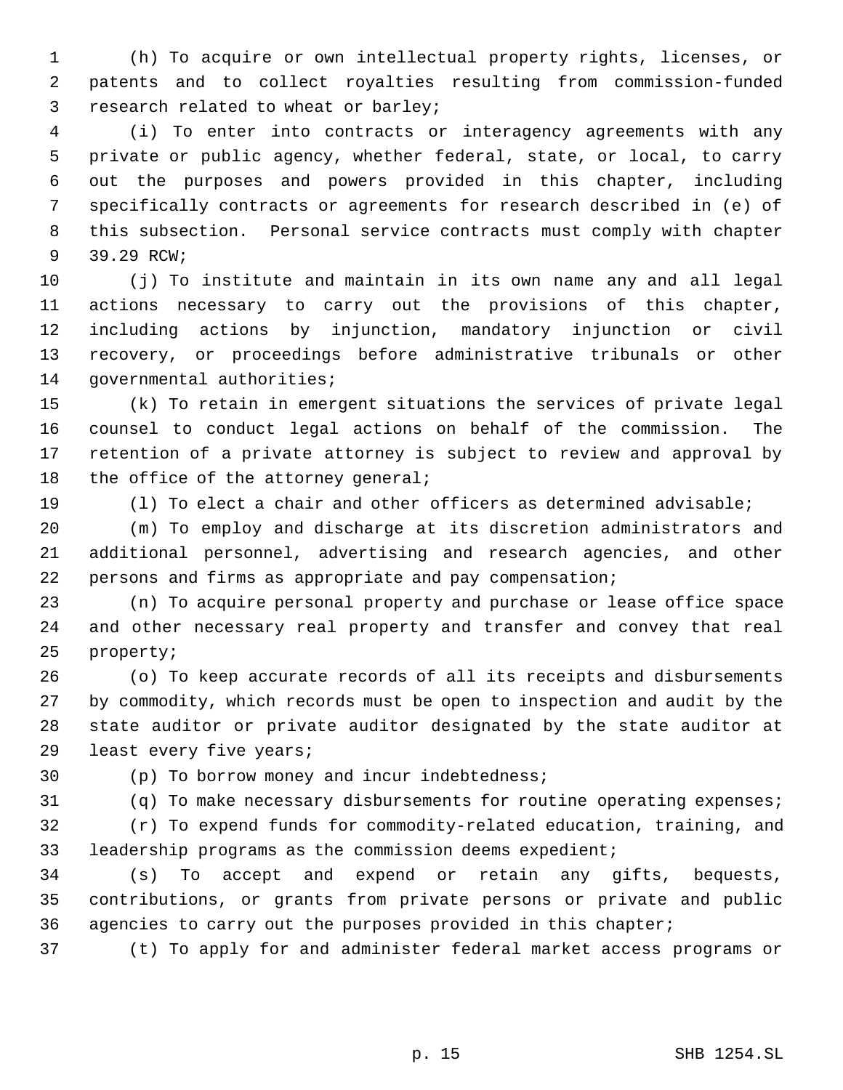(h) To acquire or own intellectual property rights, licenses, or patents and to collect royalties resulting from commission-funded research related to wheat or barley;

 (i) To enter into contracts or interagency agreements with any private or public agency, whether federal, state, or local, to carry out the purposes and powers provided in this chapter, including specifically contracts or agreements for research described in (e) of this subsection. Personal service contracts must comply with chapter 39.29 RCW;

 (j) To institute and maintain in its own name any and all legal actions necessary to carry out the provisions of this chapter, including actions by injunction, mandatory injunction or civil recovery, or proceedings before administrative tribunals or other governmental authorities;

 (k) To retain in emergent situations the services of private legal counsel to conduct legal actions on behalf of the commission. The retention of a private attorney is subject to review and approval by 18 the office of the attorney general;

(l) To elect a chair and other officers as determined advisable;

 (m) To employ and discharge at its discretion administrators and additional personnel, advertising and research agencies, and other persons and firms as appropriate and pay compensation;

 (n) To acquire personal property and purchase or lease office space and other necessary real property and transfer and convey that real property;

 (o) To keep accurate records of all its receipts and disbursements by commodity, which records must be open to inspection and audit by the state auditor or private auditor designated by the state auditor at least every five years;

(p) To borrow money and incur indebtedness;

(q) To make necessary disbursements for routine operating expenses;

 (r) To expend funds for commodity-related education, training, and leadership programs as the commission deems expedient;

 (s) To accept and expend or retain any gifts, bequests, contributions, or grants from private persons or private and public agencies to carry out the purposes provided in this chapter;

(t) To apply for and administer federal market access programs or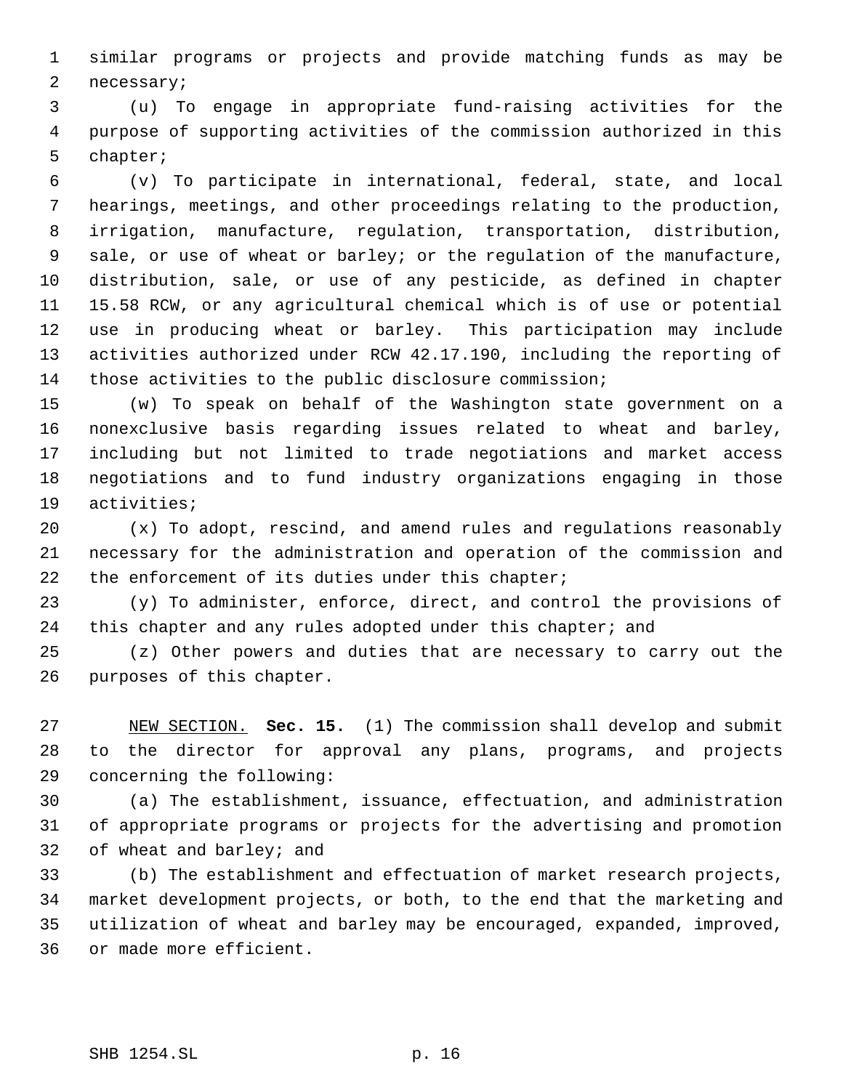similar programs or projects and provide matching funds as may be necessary;

 (u) To engage in appropriate fund-raising activities for the purpose of supporting activities of the commission authorized in this chapter;

 (v) To participate in international, federal, state, and local hearings, meetings, and other proceedings relating to the production, irrigation, manufacture, regulation, transportation, distribution, sale, or use of wheat or barley; or the regulation of the manufacture, distribution, sale, or use of any pesticide, as defined in chapter 15.58 RCW, or any agricultural chemical which is of use or potential use in producing wheat or barley. This participation may include activities authorized under RCW 42.17.190, including the reporting of those activities to the public disclosure commission;

 (w) To speak on behalf of the Washington state government on a nonexclusive basis regarding issues related to wheat and barley, including but not limited to trade negotiations and market access negotiations and to fund industry organizations engaging in those activities;

 (x) To adopt, rescind, and amend rules and regulations reasonably necessary for the administration and operation of the commission and the enforcement of its duties under this chapter;

 (y) To administer, enforce, direct, and control the provisions of 24 this chapter and any rules adopted under this chapter; and

 (z) Other powers and duties that are necessary to carry out the purposes of this chapter.

 NEW SECTION. **Sec. 15.** (1) The commission shall develop and submit to the director for approval any plans, programs, and projects concerning the following:

 (a) The establishment, issuance, effectuation, and administration of appropriate programs or projects for the advertising and promotion of wheat and barley; and

 (b) The establishment and effectuation of market research projects, market development projects, or both, to the end that the marketing and utilization of wheat and barley may be encouraged, expanded, improved, or made more efficient.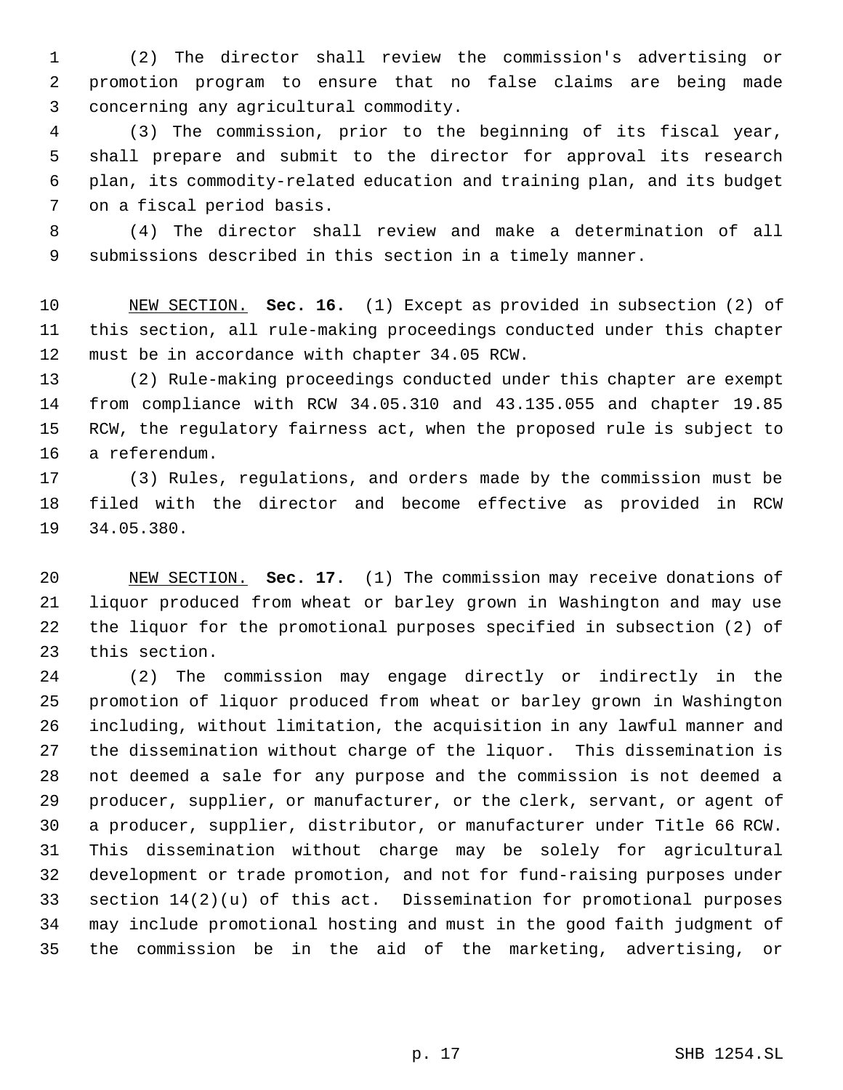(2) The director shall review the commission's advertising or promotion program to ensure that no false claims are being made concerning any agricultural commodity.

 (3) The commission, prior to the beginning of its fiscal year, shall prepare and submit to the director for approval its research plan, its commodity-related education and training plan, and its budget on a fiscal period basis.

 (4) The director shall review and make a determination of all submissions described in this section in a timely manner.

 NEW SECTION. **Sec. 16.** (1) Except as provided in subsection (2) of this section, all rule-making proceedings conducted under this chapter must be in accordance with chapter 34.05 RCW.

 (2) Rule-making proceedings conducted under this chapter are exempt from compliance with RCW 34.05.310 and 43.135.055 and chapter 19.85 RCW, the regulatory fairness act, when the proposed rule is subject to a referendum.

 (3) Rules, regulations, and orders made by the commission must be filed with the director and become effective as provided in RCW 34.05.380.

 NEW SECTION. **Sec. 17.** (1) The commission may receive donations of liquor produced from wheat or barley grown in Washington and may use the liquor for the promotional purposes specified in subsection (2) of this section.

 (2) The commission may engage directly or indirectly in the promotion of liquor produced from wheat or barley grown in Washington including, without limitation, the acquisition in any lawful manner and the dissemination without charge of the liquor. This dissemination is not deemed a sale for any purpose and the commission is not deemed a producer, supplier, or manufacturer, or the clerk, servant, or agent of a producer, supplier, distributor, or manufacturer under Title 66 RCW. This dissemination without charge may be solely for agricultural development or trade promotion, and not for fund-raising purposes under section 14(2)(u) of this act. Dissemination for promotional purposes may include promotional hosting and must in the good faith judgment of the commission be in the aid of the marketing, advertising, or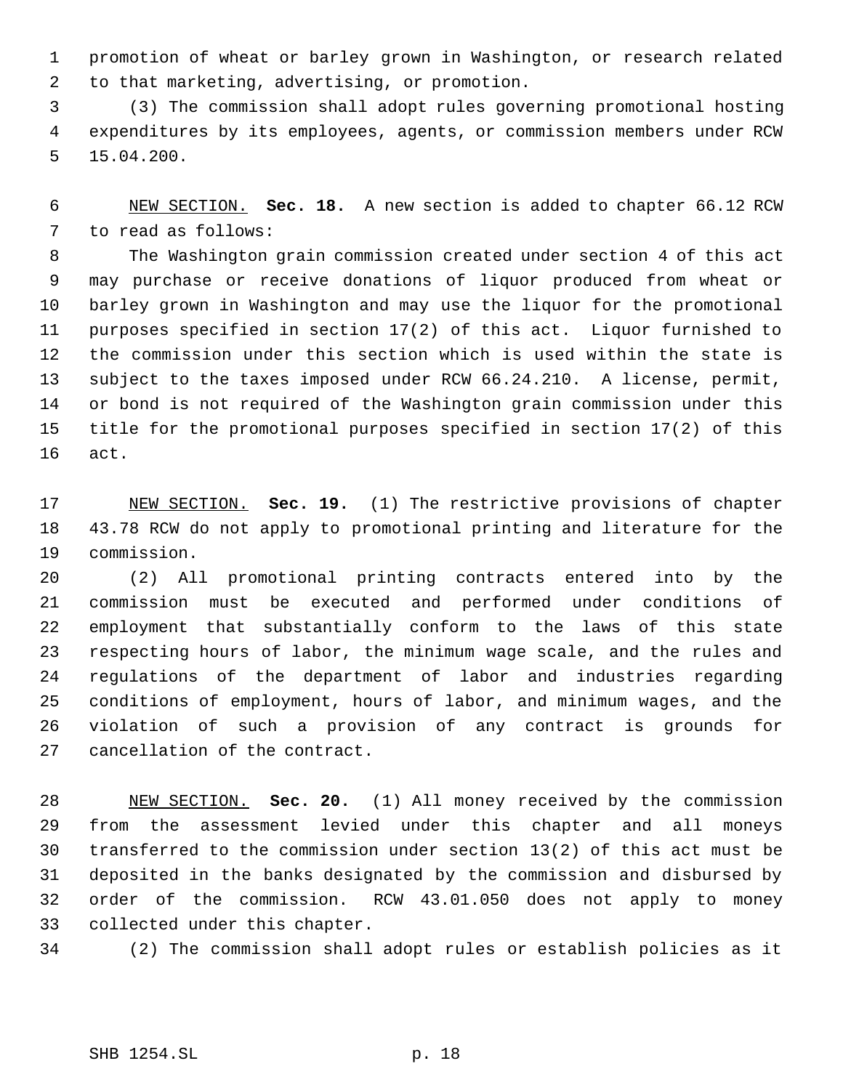promotion of wheat or barley grown in Washington, or research related to that marketing, advertising, or promotion.

 (3) The commission shall adopt rules governing promotional hosting expenditures by its employees, agents, or commission members under RCW 15.04.200.

 NEW SECTION. **Sec. 18.** A new section is added to chapter 66.12 RCW to read as follows:

 The Washington grain commission created under section 4 of this act may purchase or receive donations of liquor produced from wheat or barley grown in Washington and may use the liquor for the promotional purposes specified in section 17(2) of this act. Liquor furnished to the commission under this section which is used within the state is subject to the taxes imposed under RCW 66.24.210. A license, permit, or bond is not required of the Washington grain commission under this title for the promotional purposes specified in section 17(2) of this act.

 NEW SECTION. **Sec. 19.** (1) The restrictive provisions of chapter 43.78 RCW do not apply to promotional printing and literature for the commission.

 (2) All promotional printing contracts entered into by the commission must be executed and performed under conditions of employment that substantially conform to the laws of this state respecting hours of labor, the minimum wage scale, and the rules and regulations of the department of labor and industries regarding conditions of employment, hours of labor, and minimum wages, and the violation of such a provision of any contract is grounds for cancellation of the contract.

 NEW SECTION. **Sec. 20.** (1) All money received by the commission from the assessment levied under this chapter and all moneys transferred to the commission under section 13(2) of this act must be deposited in the banks designated by the commission and disbursed by order of the commission. RCW 43.01.050 does not apply to money collected under this chapter.

(2) The commission shall adopt rules or establish policies as it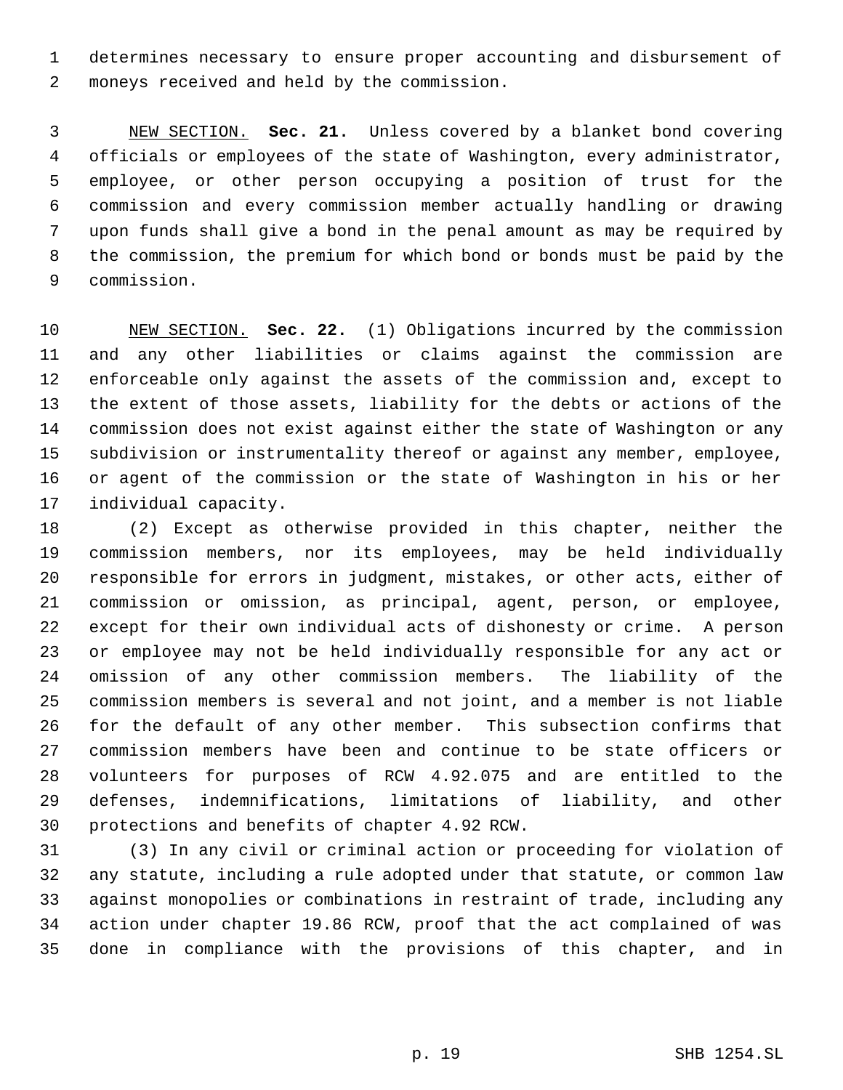determines necessary to ensure proper accounting and disbursement of moneys received and held by the commission.

 NEW SECTION. **Sec. 21.** Unless covered by a blanket bond covering officials or employees of the state of Washington, every administrator, employee, or other person occupying a position of trust for the commission and every commission member actually handling or drawing upon funds shall give a bond in the penal amount as may be required by the commission, the premium for which bond or bonds must be paid by the commission.

 NEW SECTION. **Sec. 22.** (1) Obligations incurred by the commission and any other liabilities or claims against the commission are enforceable only against the assets of the commission and, except to the extent of those assets, liability for the debts or actions of the commission does not exist against either the state of Washington or any subdivision or instrumentality thereof or against any member, employee, or agent of the commission or the state of Washington in his or her individual capacity.

 (2) Except as otherwise provided in this chapter, neither the commission members, nor its employees, may be held individually responsible for errors in judgment, mistakes, or other acts, either of commission or omission, as principal, agent, person, or employee, except for their own individual acts of dishonesty or crime. A person or employee may not be held individually responsible for any act or omission of any other commission members. The liability of the commission members is several and not joint, and a member is not liable for the default of any other member. This subsection confirms that commission members have been and continue to be state officers or volunteers for purposes of RCW 4.92.075 and are entitled to the defenses, indemnifications, limitations of liability, and other protections and benefits of chapter 4.92 RCW.

 (3) In any civil or criminal action or proceeding for violation of any statute, including a rule adopted under that statute, or common law against monopolies or combinations in restraint of trade, including any action under chapter 19.86 RCW, proof that the act complained of was done in compliance with the provisions of this chapter, and in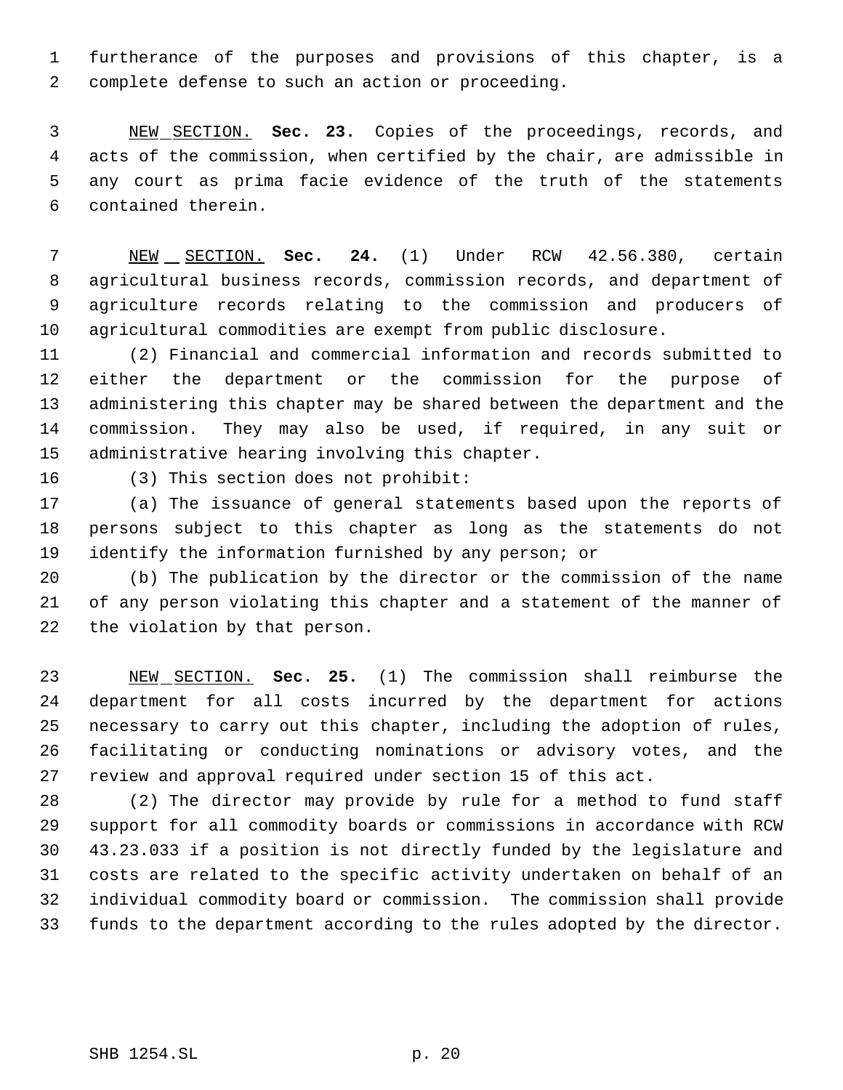furtherance of the purposes and provisions of this chapter, is a complete defense to such an action or proceeding.

 NEW SECTION. **Sec. 23.** Copies of the proceedings, records, and acts of the commission, when certified by the chair, are admissible in any court as prima facie evidence of the truth of the statements contained therein.

 NEW SECTION. **Sec. 24.** (1) Under RCW 42.56.380, certain agricultural business records, commission records, and department of agriculture records relating to the commission and producers of agricultural commodities are exempt from public disclosure.

 (2) Financial and commercial information and records submitted to either the department or the commission for the purpose of administering this chapter may be shared between the department and the commission. They may also be used, if required, in any suit or administrative hearing involving this chapter.

(3) This section does not prohibit:

 (a) The issuance of general statements based upon the reports of persons subject to this chapter as long as the statements do not identify the information furnished by any person; or

 (b) The publication by the director or the commission of the name of any person violating this chapter and a statement of the manner of the violation by that person.

 NEW SECTION. **Sec. 25.** (1) The commission shall reimburse the department for all costs incurred by the department for actions necessary to carry out this chapter, including the adoption of rules, facilitating or conducting nominations or advisory votes, and the review and approval required under section 15 of this act.

 (2) The director may provide by rule for a method to fund staff support for all commodity boards or commissions in accordance with RCW 43.23.033 if a position is not directly funded by the legislature and costs are related to the specific activity undertaken on behalf of an individual commodity board or commission. The commission shall provide funds to the department according to the rules adopted by the director.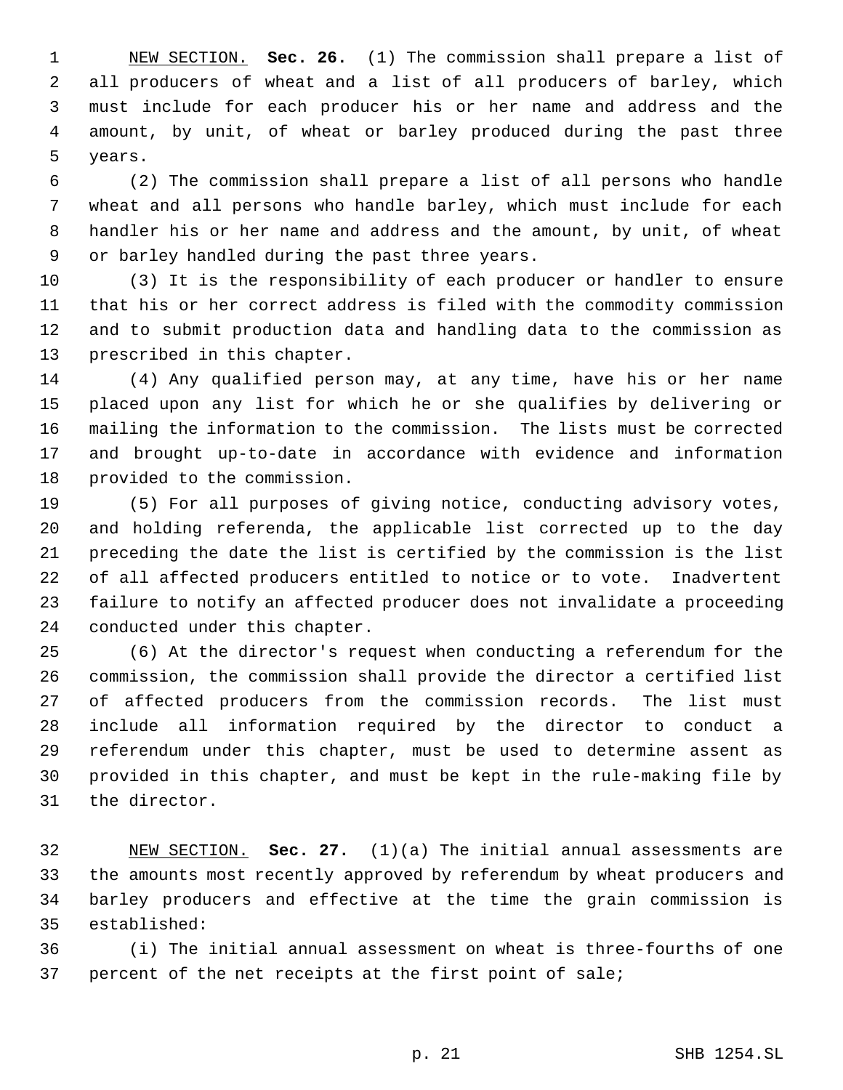NEW SECTION. **Sec. 26.** (1) The commission shall prepare a list of all producers of wheat and a list of all producers of barley, which must include for each producer his or her name and address and the amount, by unit, of wheat or barley produced during the past three years.

 (2) The commission shall prepare a list of all persons who handle wheat and all persons who handle barley, which must include for each handler his or her name and address and the amount, by unit, of wheat or barley handled during the past three years.

 (3) It is the responsibility of each producer or handler to ensure that his or her correct address is filed with the commodity commission and to submit production data and handling data to the commission as prescribed in this chapter.

 (4) Any qualified person may, at any time, have his or her name placed upon any list for which he or she qualifies by delivering or mailing the information to the commission. The lists must be corrected and brought up-to-date in accordance with evidence and information provided to the commission.

 (5) For all purposes of giving notice, conducting advisory votes, and holding referenda, the applicable list corrected up to the day preceding the date the list is certified by the commission is the list of all affected producers entitled to notice or to vote. Inadvertent failure to notify an affected producer does not invalidate a proceeding conducted under this chapter.

 (6) At the director's request when conducting a referendum for the commission, the commission shall provide the director a certified list of affected producers from the commission records. The list must include all information required by the director to conduct a referendum under this chapter, must be used to determine assent as provided in this chapter, and must be kept in the rule-making file by the director.

 NEW SECTION. **Sec. 27.** (1)(a) The initial annual assessments are the amounts most recently approved by referendum by wheat producers and barley producers and effective at the time the grain commission is established:

 (i) The initial annual assessment on wheat is three-fourths of one percent of the net receipts at the first point of sale;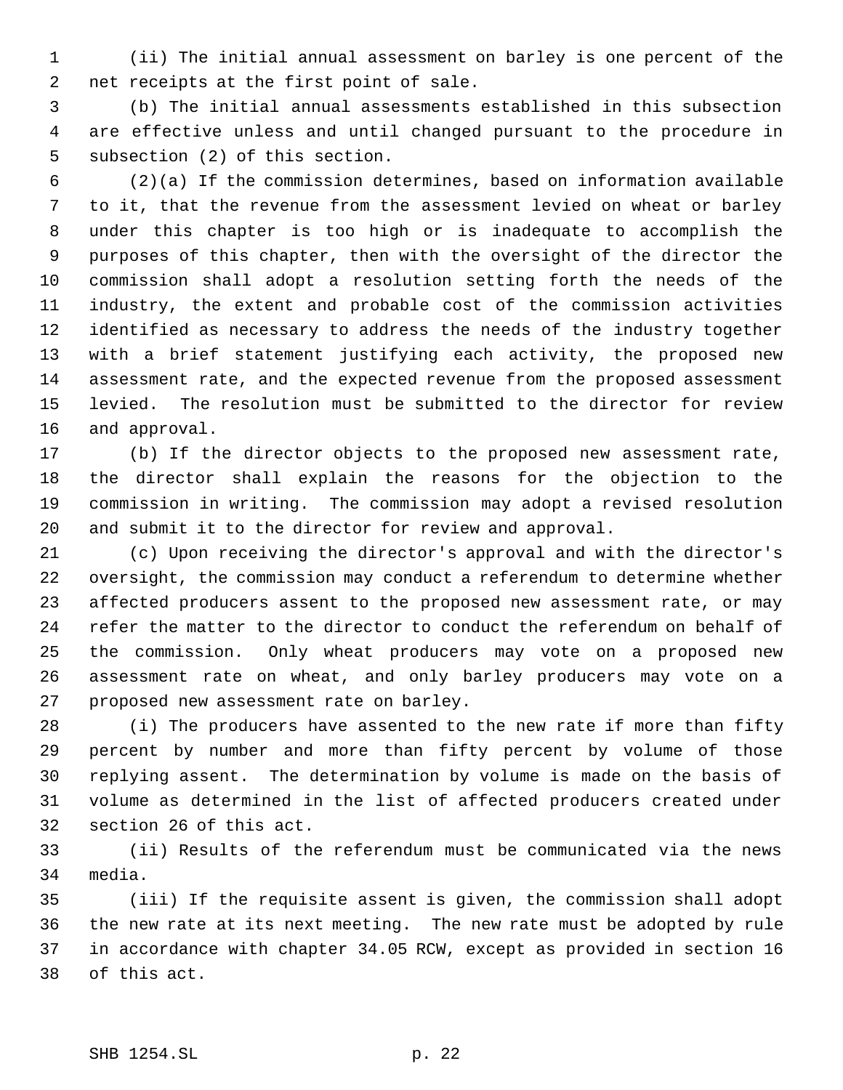(ii) The initial annual assessment on barley is one percent of the net receipts at the first point of sale.

 (b) The initial annual assessments established in this subsection are effective unless and until changed pursuant to the procedure in subsection (2) of this section.

 (2)(a) If the commission determines, based on information available to it, that the revenue from the assessment levied on wheat or barley under this chapter is too high or is inadequate to accomplish the purposes of this chapter, then with the oversight of the director the commission shall adopt a resolution setting forth the needs of the industry, the extent and probable cost of the commission activities identified as necessary to address the needs of the industry together with a brief statement justifying each activity, the proposed new assessment rate, and the expected revenue from the proposed assessment levied. The resolution must be submitted to the director for review and approval.

 (b) If the director objects to the proposed new assessment rate, the director shall explain the reasons for the objection to the commission in writing. The commission may adopt a revised resolution and submit it to the director for review and approval.

 (c) Upon receiving the director's approval and with the director's oversight, the commission may conduct a referendum to determine whether affected producers assent to the proposed new assessment rate, or may refer the matter to the director to conduct the referendum on behalf of the commission. Only wheat producers may vote on a proposed new assessment rate on wheat, and only barley producers may vote on a proposed new assessment rate on barley.

 (i) The producers have assented to the new rate if more than fifty percent by number and more than fifty percent by volume of those replying assent. The determination by volume is made on the basis of volume as determined in the list of affected producers created under section 26 of this act.

 (ii) Results of the referendum must be communicated via the news media.

 (iii) If the requisite assent is given, the commission shall adopt the new rate at its next meeting. The new rate must be adopted by rule in accordance with chapter 34.05 RCW, except as provided in section 16 of this act.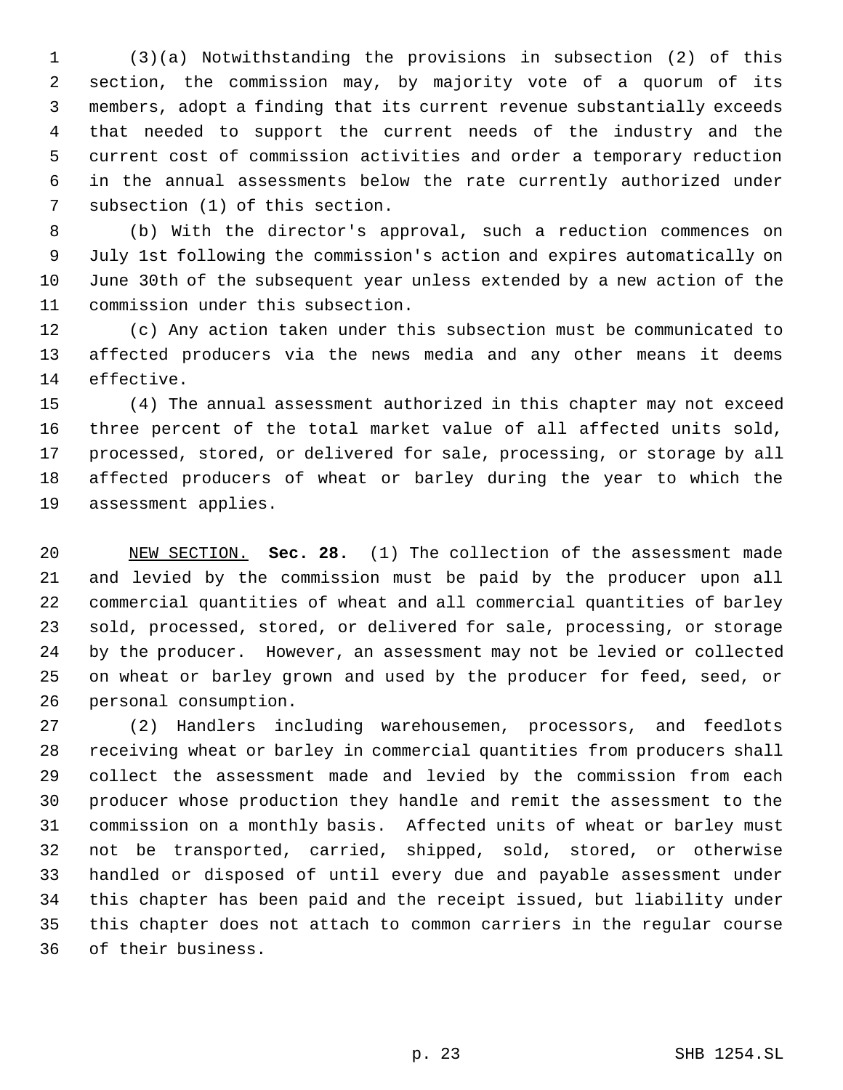(3)(a) Notwithstanding the provisions in subsection (2) of this section, the commission may, by majority vote of a quorum of its members, adopt a finding that its current revenue substantially exceeds that needed to support the current needs of the industry and the current cost of commission activities and order a temporary reduction in the annual assessments below the rate currently authorized under subsection (1) of this section.

 (b) With the director's approval, such a reduction commences on July 1st following the commission's action and expires automatically on June 30th of the subsequent year unless extended by a new action of the commission under this subsection.

 (c) Any action taken under this subsection must be communicated to affected producers via the news media and any other means it deems effective.

 (4) The annual assessment authorized in this chapter may not exceed three percent of the total market value of all affected units sold, processed, stored, or delivered for sale, processing, or storage by all affected producers of wheat or barley during the year to which the assessment applies.

 NEW SECTION. **Sec. 28.** (1) The collection of the assessment made and levied by the commission must be paid by the producer upon all commercial quantities of wheat and all commercial quantities of barley sold, processed, stored, or delivered for sale, processing, or storage by the producer. However, an assessment may not be levied or collected on wheat or barley grown and used by the producer for feed, seed, or personal consumption.

 (2) Handlers including warehousemen, processors, and feedlots receiving wheat or barley in commercial quantities from producers shall collect the assessment made and levied by the commission from each producer whose production they handle and remit the assessment to the commission on a monthly basis. Affected units of wheat or barley must not be transported, carried, shipped, sold, stored, or otherwise handled or disposed of until every due and payable assessment under this chapter has been paid and the receipt issued, but liability under this chapter does not attach to common carriers in the regular course of their business.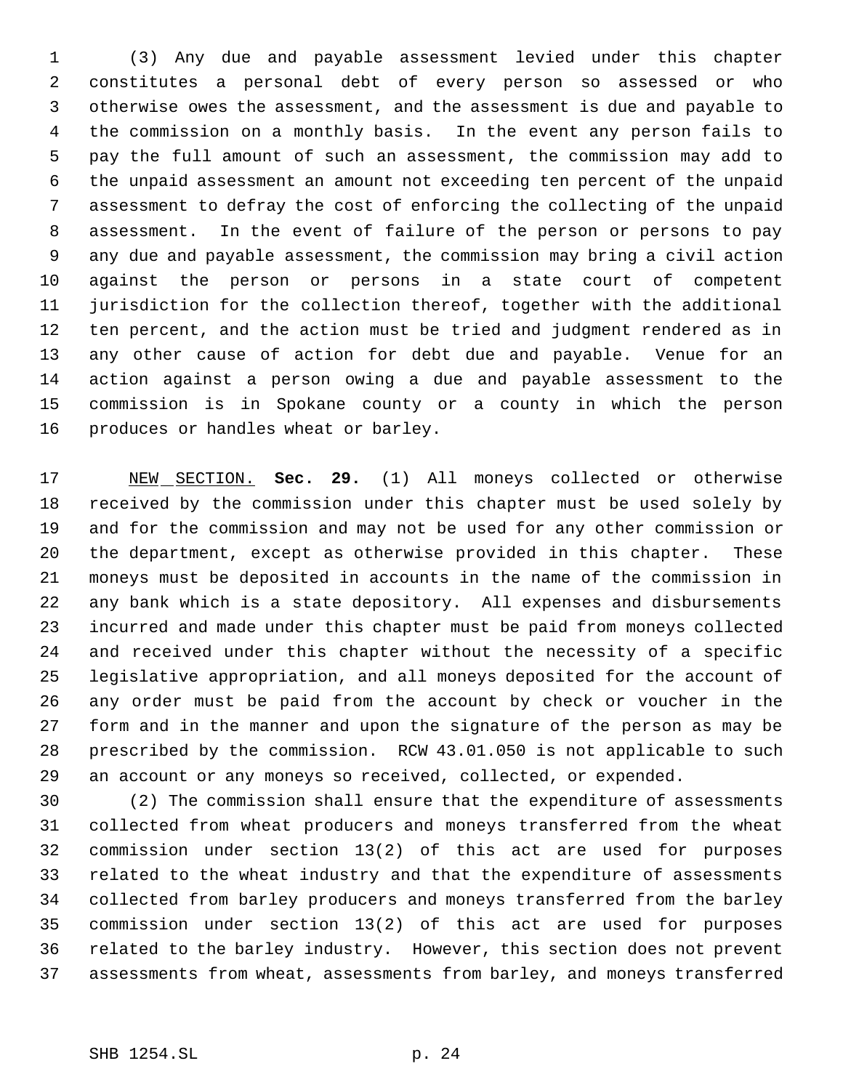(3) Any due and payable assessment levied under this chapter constitutes a personal debt of every person so assessed or who otherwise owes the assessment, and the assessment is due and payable to the commission on a monthly basis. In the event any person fails to pay the full amount of such an assessment, the commission may add to the unpaid assessment an amount not exceeding ten percent of the unpaid assessment to defray the cost of enforcing the collecting of the unpaid assessment. In the event of failure of the person or persons to pay any due and payable assessment, the commission may bring a civil action against the person or persons in a state court of competent jurisdiction for the collection thereof, together with the additional ten percent, and the action must be tried and judgment rendered as in any other cause of action for debt due and payable. Venue for an action against a person owing a due and payable assessment to the commission is in Spokane county or a county in which the person produces or handles wheat or barley.

 NEW SECTION. **Sec. 29.** (1) All moneys collected or otherwise received by the commission under this chapter must be used solely by and for the commission and may not be used for any other commission or the department, except as otherwise provided in this chapter. These moneys must be deposited in accounts in the name of the commission in any bank which is a state depository. All expenses and disbursements incurred and made under this chapter must be paid from moneys collected and received under this chapter without the necessity of a specific legislative appropriation, and all moneys deposited for the account of any order must be paid from the account by check or voucher in the form and in the manner and upon the signature of the person as may be prescribed by the commission. RCW 43.01.050 is not applicable to such an account or any moneys so received, collected, or expended.

 (2) The commission shall ensure that the expenditure of assessments collected from wheat producers and moneys transferred from the wheat commission under section 13(2) of this act are used for purposes related to the wheat industry and that the expenditure of assessments collected from barley producers and moneys transferred from the barley commission under section 13(2) of this act are used for purposes related to the barley industry. However, this section does not prevent assessments from wheat, assessments from barley, and moneys transferred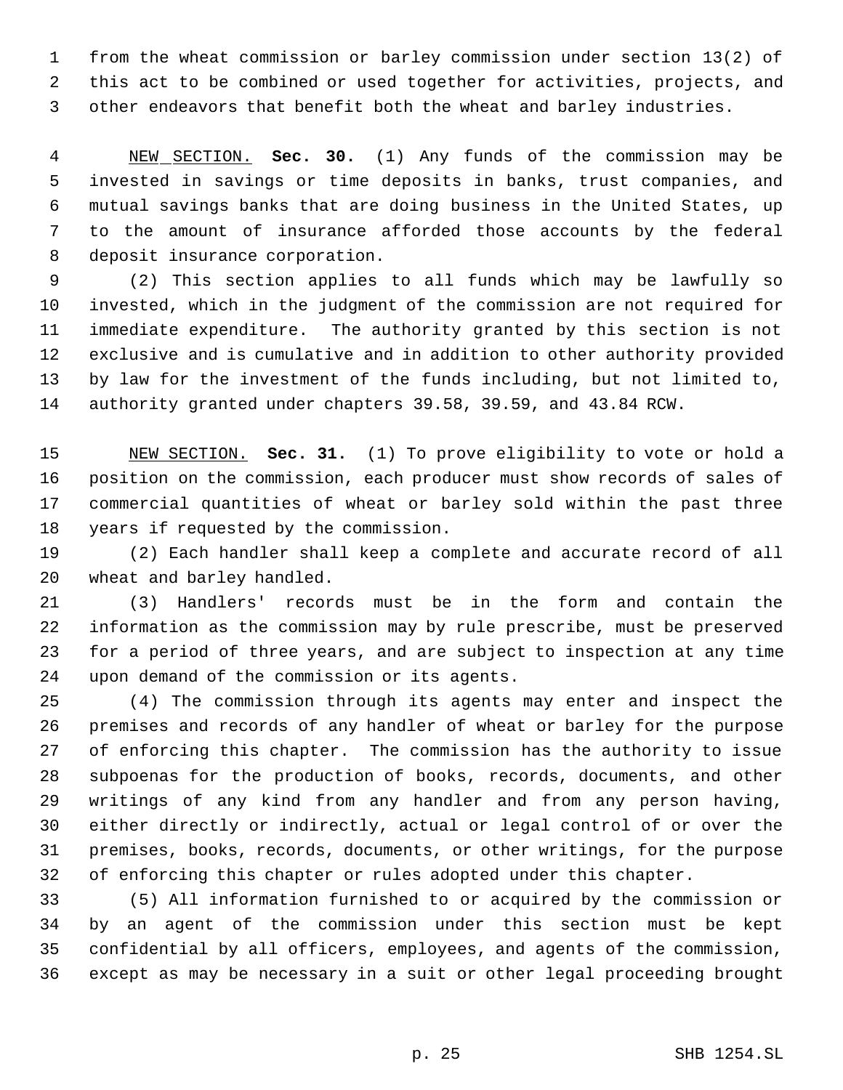from the wheat commission or barley commission under section 13(2) of this act to be combined or used together for activities, projects, and other endeavors that benefit both the wheat and barley industries.

 NEW SECTION. **Sec. 30.** (1) Any funds of the commission may be invested in savings or time deposits in banks, trust companies, and mutual savings banks that are doing business in the United States, up to the amount of insurance afforded those accounts by the federal deposit insurance corporation.

 (2) This section applies to all funds which may be lawfully so invested, which in the judgment of the commission are not required for immediate expenditure. The authority granted by this section is not exclusive and is cumulative and in addition to other authority provided by law for the investment of the funds including, but not limited to, authority granted under chapters 39.58, 39.59, and 43.84 RCW.

 NEW SECTION. **Sec. 31.** (1) To prove eligibility to vote or hold a position on the commission, each producer must show records of sales of commercial quantities of wheat or barley sold within the past three years if requested by the commission.

 (2) Each handler shall keep a complete and accurate record of all wheat and barley handled.

 (3) Handlers' records must be in the form and contain the information as the commission may by rule prescribe, must be preserved for a period of three years, and are subject to inspection at any time upon demand of the commission or its agents.

 (4) The commission through its agents may enter and inspect the premises and records of any handler of wheat or barley for the purpose of enforcing this chapter. The commission has the authority to issue subpoenas for the production of books, records, documents, and other writings of any kind from any handler and from any person having, either directly or indirectly, actual or legal control of or over the premises, books, records, documents, or other writings, for the purpose of enforcing this chapter or rules adopted under this chapter.

 (5) All information furnished to or acquired by the commission or by an agent of the commission under this section must be kept confidential by all officers, employees, and agents of the commission, except as may be necessary in a suit or other legal proceeding brought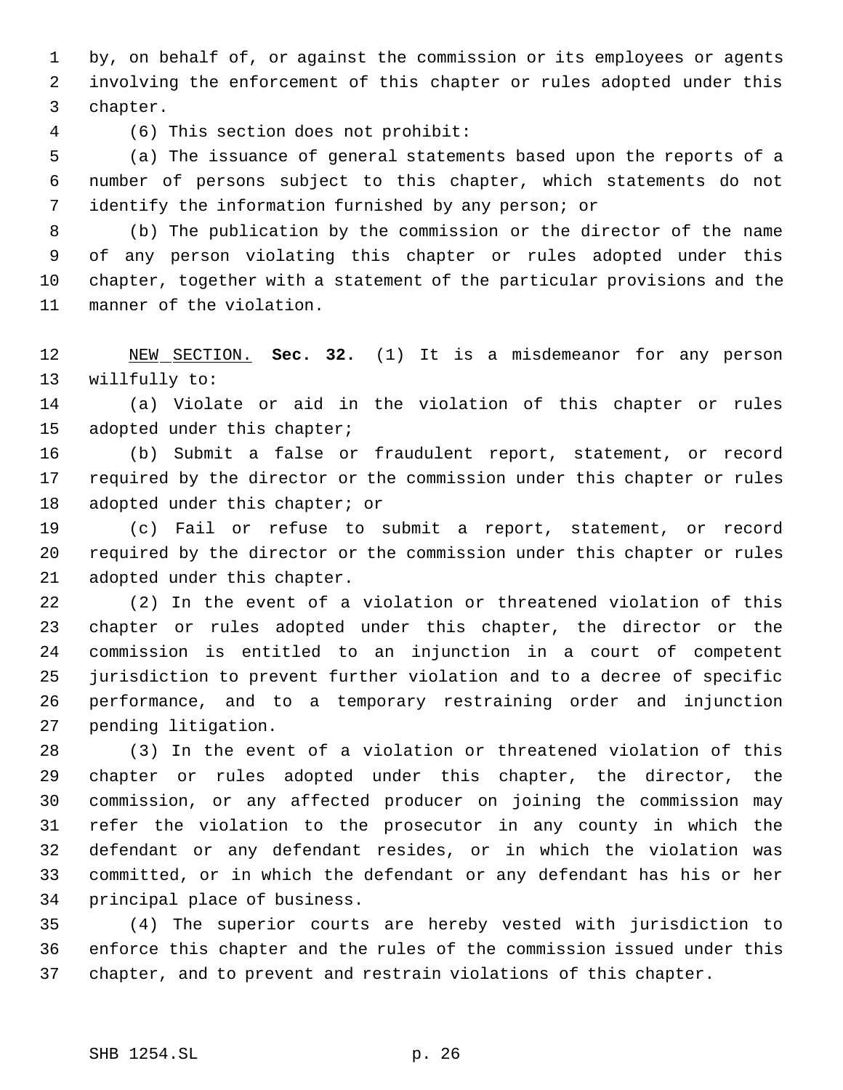by, on behalf of, or against the commission or its employees or agents involving the enforcement of this chapter or rules adopted under this chapter.

(6) This section does not prohibit:

 (a) The issuance of general statements based upon the reports of a number of persons subject to this chapter, which statements do not identify the information furnished by any person; or

 (b) The publication by the commission or the director of the name of any person violating this chapter or rules adopted under this chapter, together with a statement of the particular provisions and the manner of the violation.

 NEW SECTION. **Sec. 32.** (1) It is a misdemeanor for any person willfully to:

 (a) Violate or aid in the violation of this chapter or rules adopted under this chapter;

 (b) Submit a false or fraudulent report, statement, or record required by the director or the commission under this chapter or rules 18 adopted under this chapter; or

 (c) Fail or refuse to submit a report, statement, or record required by the director or the commission under this chapter or rules adopted under this chapter.

 (2) In the event of a violation or threatened violation of this chapter or rules adopted under this chapter, the director or the commission is entitled to an injunction in a court of competent jurisdiction to prevent further violation and to a decree of specific performance, and to a temporary restraining order and injunction pending litigation.

 (3) In the event of a violation or threatened violation of this chapter or rules adopted under this chapter, the director, the commission, or any affected producer on joining the commission may refer the violation to the prosecutor in any county in which the defendant or any defendant resides, or in which the violation was committed, or in which the defendant or any defendant has his or her principal place of business.

 (4) The superior courts are hereby vested with jurisdiction to enforce this chapter and the rules of the commission issued under this chapter, and to prevent and restrain violations of this chapter.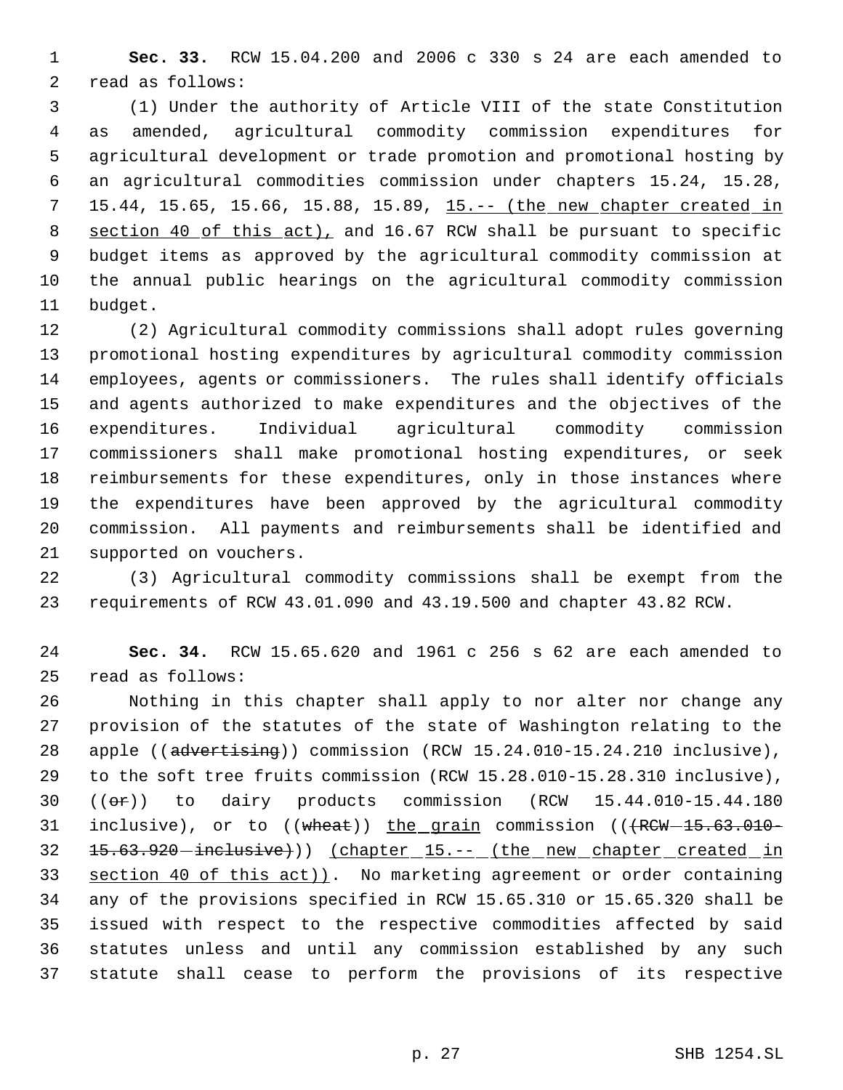**Sec. 33.** RCW 15.04.200 and 2006 c 330 s 24 are each amended to read as follows:

 (1) Under the authority of Article VIII of the state Constitution as amended, agricultural commodity commission expenditures for agricultural development or trade promotion and promotional hosting by an agricultural commodities commission under chapters 15.24, 15.28, 7 15.44, 15.65, 15.66, 15.88, 15.89, 15.-- (the new chapter created in 8 section 40 of this act), and 16.67 RCW shall be pursuant to specific budget items as approved by the agricultural commodity commission at the annual public hearings on the agricultural commodity commission budget.

 (2) Agricultural commodity commissions shall adopt rules governing promotional hosting expenditures by agricultural commodity commission employees, agents or commissioners. The rules shall identify officials and agents authorized to make expenditures and the objectives of the expenditures. Individual agricultural commodity commission commissioners shall make promotional hosting expenditures, or seek reimbursements for these expenditures, only in those instances where the expenditures have been approved by the agricultural commodity commission. All payments and reimbursements shall be identified and supported on vouchers.

 (3) Agricultural commodity commissions shall be exempt from the requirements of RCW 43.01.090 and 43.19.500 and chapter 43.82 RCW.

 **Sec. 34.** RCW 15.65.620 and 1961 c 256 s 62 are each amended to read as follows:

 Nothing in this chapter shall apply to nor alter nor change any provision of the statutes of the state of Washington relating to the 28 apple ((advertising)) commission (RCW 15.24.010-15.24.210 inclusive), to the soft tree fruits commission (RCW 15.28.010-15.28.310 inclusive), ((or)) to dairy products commission (RCW 15.44.010-15.44.180 31 inclusive), or to ((wheat)) the grain commission (( $RCW-15.63.010-$ 32 15.63.920 - inclusive)) (chapter 15.-- (the new chapter created in section 40 of this act)). No marketing agreement or order containing any of the provisions specified in RCW 15.65.310 or 15.65.320 shall be issued with respect to the respective commodities affected by said statutes unless and until any commission established by any such statute shall cease to perform the provisions of its respective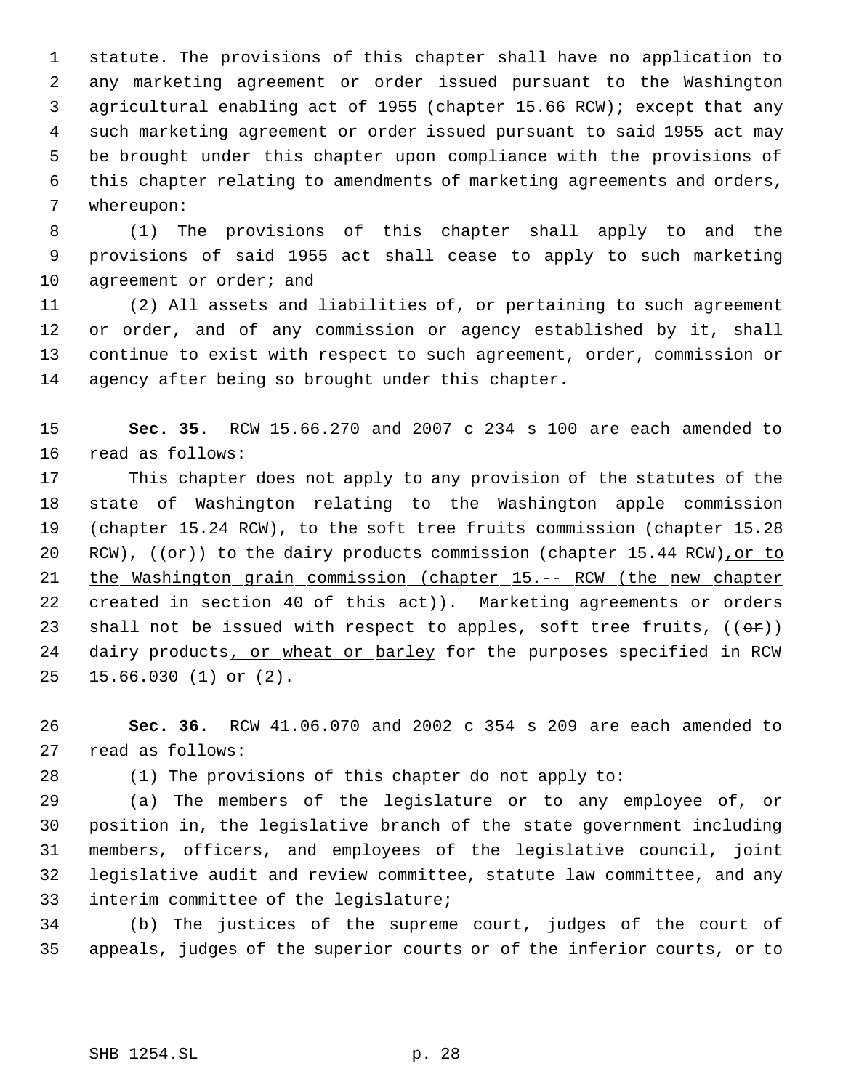statute. The provisions of this chapter shall have no application to any marketing agreement or order issued pursuant to the Washington agricultural enabling act of 1955 (chapter 15.66 RCW); except that any such marketing agreement or order issued pursuant to said 1955 act may be brought under this chapter upon compliance with the provisions of this chapter relating to amendments of marketing agreements and orders, whereupon:

 (1) The provisions of this chapter shall apply to and the provisions of said 1955 act shall cease to apply to such marketing 10 agreement or order; and

 (2) All assets and liabilities of, or pertaining to such agreement or order, and of any commission or agency established by it, shall continue to exist with respect to such agreement, order, commission or agency after being so brought under this chapter.

 **Sec. 35.** RCW 15.66.270 and 2007 c 234 s 100 are each amended to read as follows:

 This chapter does not apply to any provision of the statutes of the state of Washington relating to the Washington apple commission (chapter 15.24 RCW), to the soft tree fruits commission (chapter 15.28 20 RCW),  $(6x)$  to the dairy products commission (chapter 15.44 RCW), or to the Washington grain commission (chapter 15.-- RCW (the new chapter 22 created in section 40 of this act)). Marketing agreements or orders 23 shall not be issued with respect to apples, soft tree fruits,  $((\theta \cdot \hat{r}))$ 24 dairy products, or wheat or barley for the purposes specified in RCW 15.66.030 (1) or (2).

 **Sec. 36.** RCW 41.06.070 and 2002 c 354 s 209 are each amended to read as follows:

(1) The provisions of this chapter do not apply to:

 (a) The members of the legislature or to any employee of, or position in, the legislative branch of the state government including members, officers, and employees of the legislative council, joint legislative audit and review committee, statute law committee, and any interim committee of the legislature;

 (b) The justices of the supreme court, judges of the court of appeals, judges of the superior courts or of the inferior courts, or to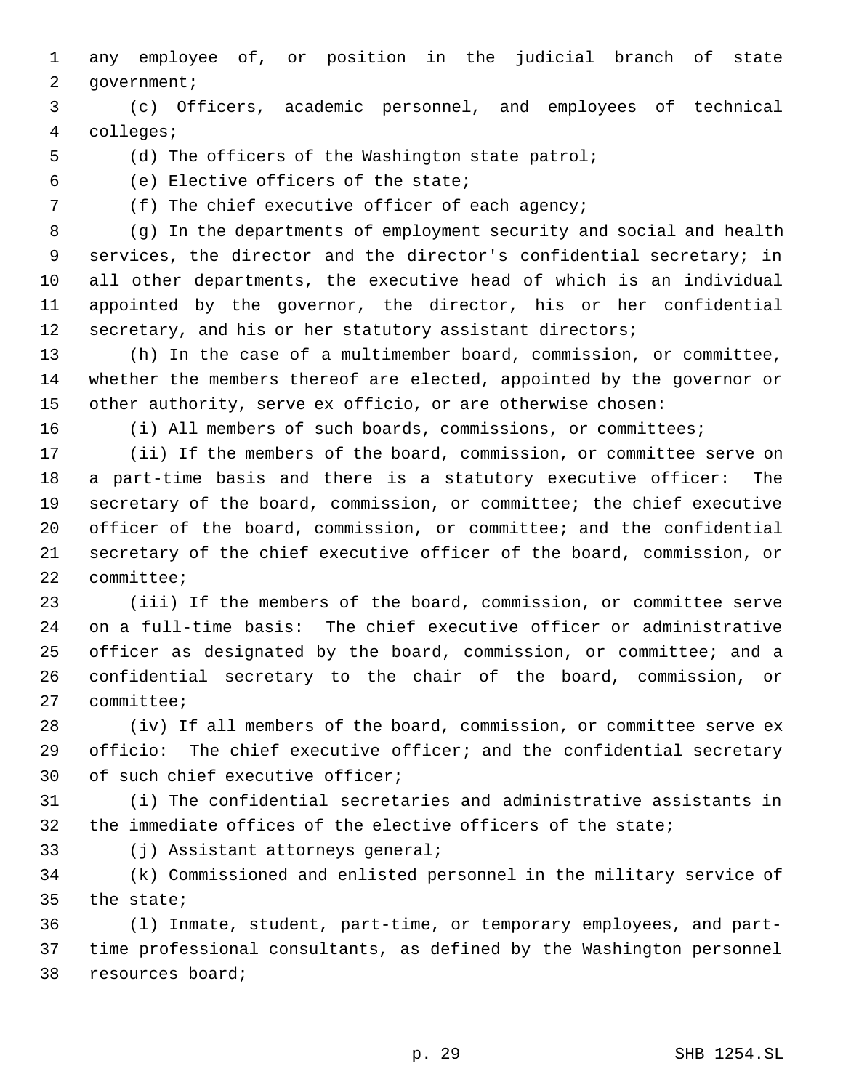any employee of, or position in the judicial branch of state 2 government;

 (c) Officers, academic personnel, and employees of technical colleges;

(d) The officers of the Washington state patrol;

(e) Elective officers of the state;

7 (f) The chief executive officer of each agency;

 (g) In the departments of employment security and social and health services, the director and the director's confidential secretary; in all other departments, the executive head of which is an individual appointed by the governor, the director, his or her confidential secretary, and his or her statutory assistant directors;

 (h) In the case of a multimember board, commission, or committee, whether the members thereof are elected, appointed by the governor or other authority, serve ex officio, or are otherwise chosen:

(i) All members of such boards, commissions, or committees;

 (ii) If the members of the board, commission, or committee serve on a part-time basis and there is a statutory executive officer: The secretary of the board, commission, or committee; the chief executive officer of the board, commission, or committee; and the confidential secretary of the chief executive officer of the board, commission, or committee;

 (iii) If the members of the board, commission, or committee serve on a full-time basis: The chief executive officer or administrative officer as designated by the board, commission, or committee; and a confidential secretary to the chair of the board, commission, or committee;

 (iv) If all members of the board, commission, or committee serve ex officio: The chief executive officer; and the confidential secretary of such chief executive officer;

 (i) The confidential secretaries and administrative assistants in the immediate offices of the elective officers of the state;

(j) Assistant attorneys general;

 (k) Commissioned and enlisted personnel in the military service of the state;

 (l) Inmate, student, part-time, or temporary employees, and part- time professional consultants, as defined by the Washington personnel resources board;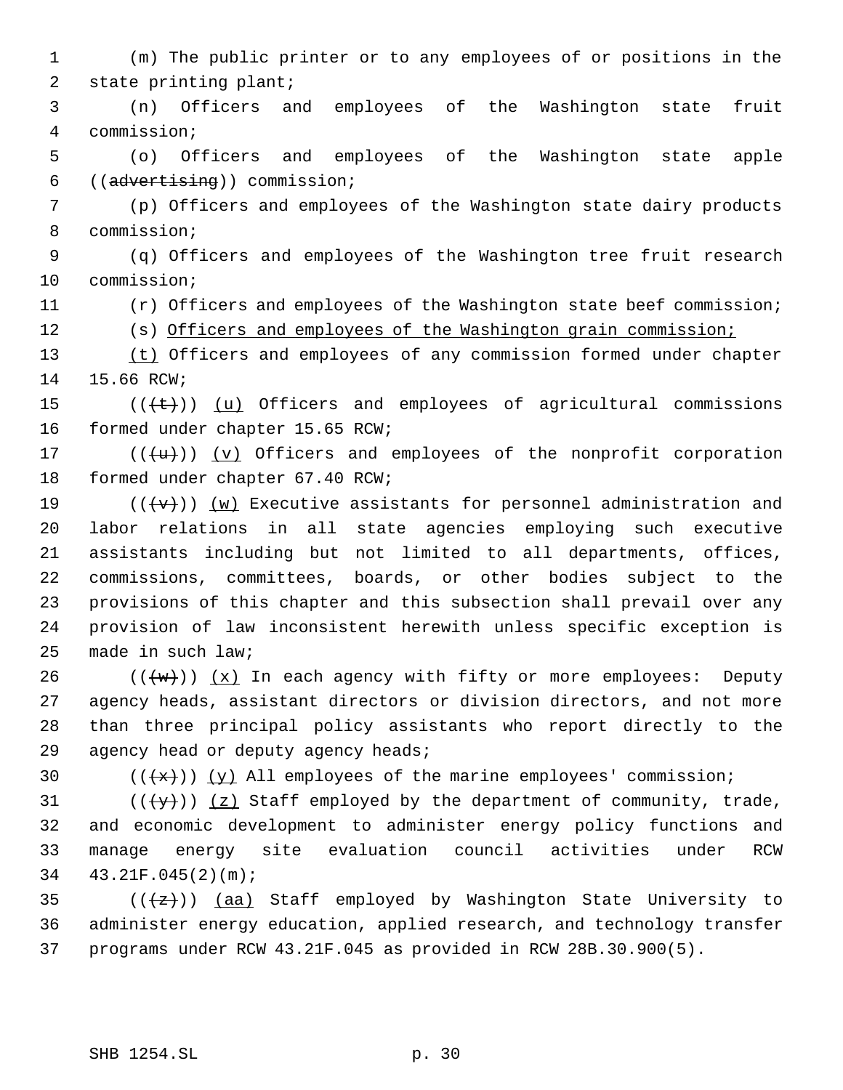(m) The public printer or to any employees of or positions in the state printing plant; (n) Officers and employees of the Washington state fruit commission; (o) Officers and employees of the Washington state apple ((advertising)) commission; (p) Officers and employees of the Washington state dairy products commission; (q) Officers and employees of the Washington tree fruit research commission; (r) Officers and employees of the Washington state beef commission; (s) Officers and employees of the Washington grain commission; (t) Officers and employees of any commission formed under chapter 15.66 RCW;  $((\{\text{t}\}))(\underline{u})$  Officers and employees of agricultural commissions formed under chapter 15.65 RCW;  $((\{u\}))(y)$  Officers and employees of the nonprofit corporation formed under chapter 67.40 RCW; 19 ( $(\{\text{v}\})$ ) (w) Executive assistants for personnel administration and labor relations in all state agencies employing such executive assistants including but not limited to all departments, offices, commissions, committees, boards, or other bodies subject to the provisions of this chapter and this subsection shall prevail over any provision of law inconsistent herewith unless specific exception is made in such law; 26 ( $(\overline{w})$ )  $(x)$  In each agency with fifty or more employees: Deputy agency heads, assistant directors or division directors, and not more than three principal policy assistants who report directly to the 29 agency head or deputy agency heads;  $((\{x\}))(y)$  All employees of the marine employees' commission; 31 ( $(\langle \overline{\mathbf{y}} \rangle)$  (z) Staff employed by the department of community, trade, and economic development to administer energy policy functions and manage energy site evaluation council activities under RCW 43.21F.045(2)(m); 35 ( $(\frac{1}{2})$ ) (aa) Staff employed by Washington State University to administer energy education, applied research, and technology transfer programs under RCW 43.21F.045 as provided in RCW 28B.30.900(5).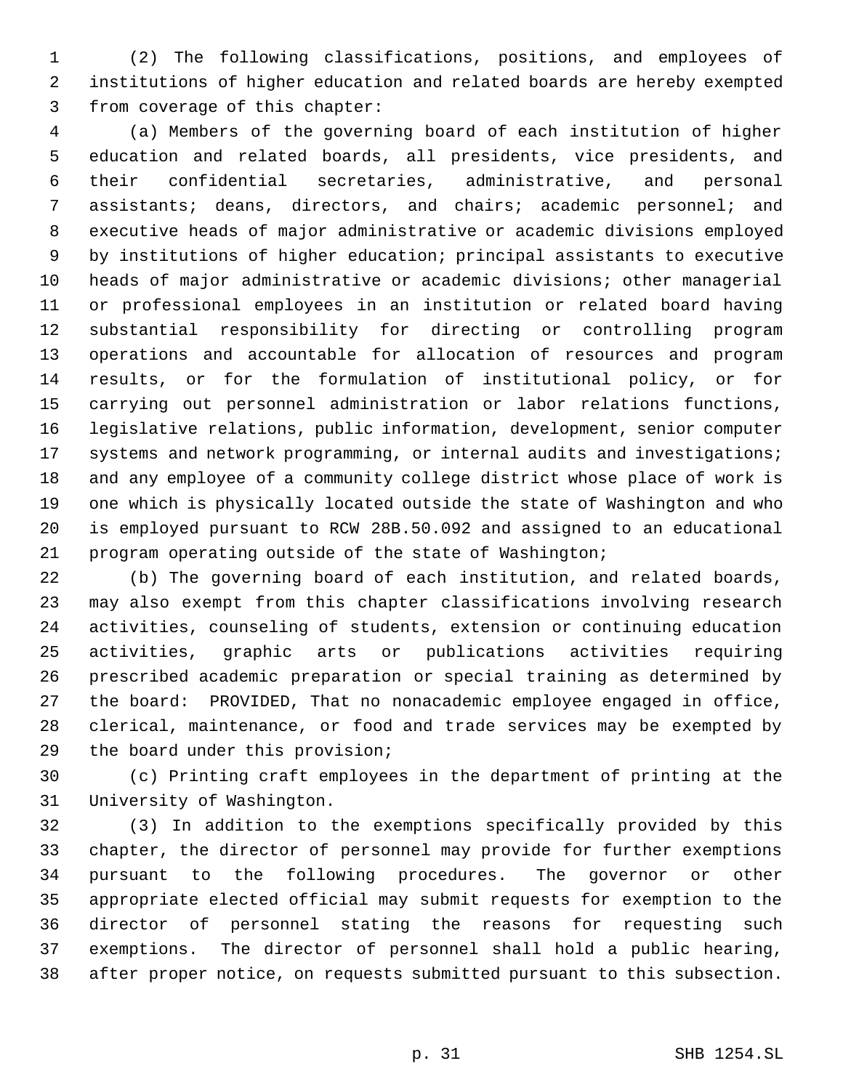(2) The following classifications, positions, and employees of institutions of higher education and related boards are hereby exempted from coverage of this chapter:

 (a) Members of the governing board of each institution of higher education and related boards, all presidents, vice presidents, and their confidential secretaries, administrative, and personal assistants; deans, directors, and chairs; academic personnel; and executive heads of major administrative or academic divisions employed by institutions of higher education; principal assistants to executive heads of major administrative or academic divisions; other managerial or professional employees in an institution or related board having substantial responsibility for directing or controlling program operations and accountable for allocation of resources and program results, or for the formulation of institutional policy, or for carrying out personnel administration or labor relations functions, legislative relations, public information, development, senior computer systems and network programming, or internal audits and investigations; and any employee of a community college district whose place of work is one which is physically located outside the state of Washington and who is employed pursuant to RCW 28B.50.092 and assigned to an educational program operating outside of the state of Washington;

 (b) The governing board of each institution, and related boards, may also exempt from this chapter classifications involving research activities, counseling of students, extension or continuing education activities, graphic arts or publications activities requiring prescribed academic preparation or special training as determined by the board: PROVIDED, That no nonacademic employee engaged in office, clerical, maintenance, or food and trade services may be exempted by the board under this provision;

 (c) Printing craft employees in the department of printing at the University of Washington.

 (3) In addition to the exemptions specifically provided by this chapter, the director of personnel may provide for further exemptions pursuant to the following procedures. The governor or other appropriate elected official may submit requests for exemption to the director of personnel stating the reasons for requesting such exemptions. The director of personnel shall hold a public hearing, after proper notice, on requests submitted pursuant to this subsection.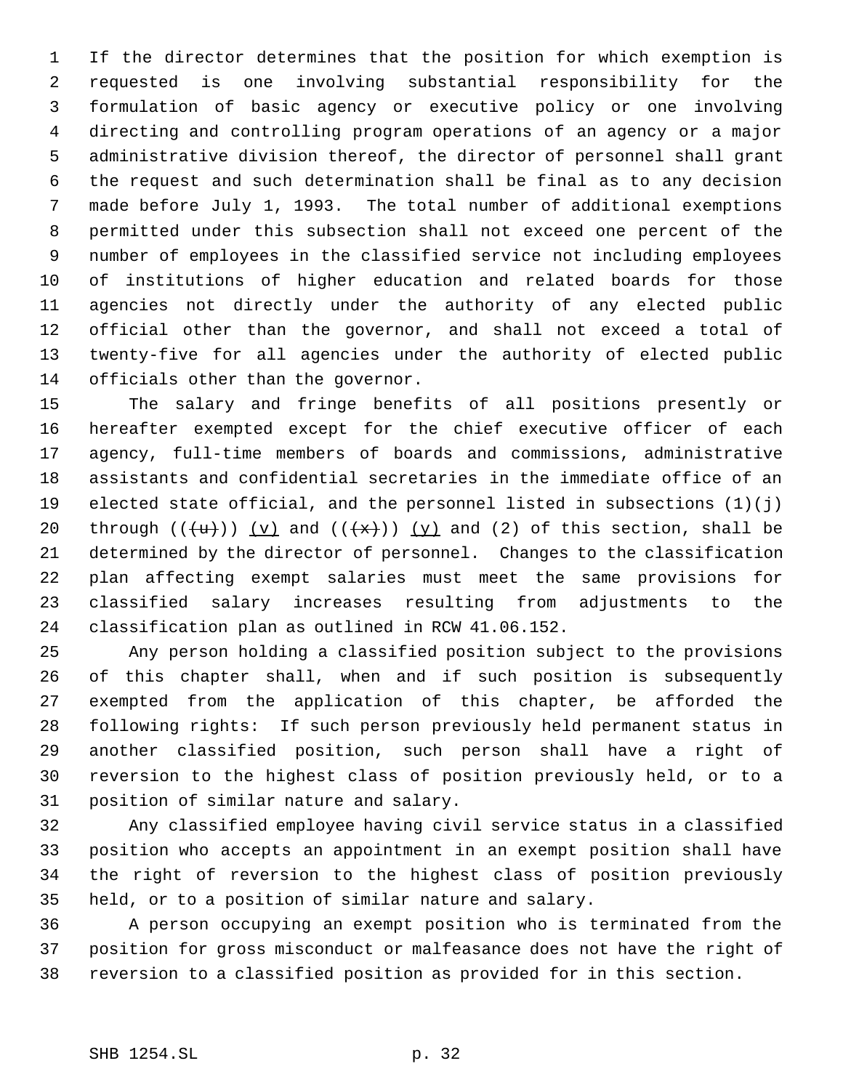If the director determines that the position for which exemption is requested is one involving substantial responsibility for the formulation of basic agency or executive policy or one involving directing and controlling program operations of an agency or a major administrative division thereof, the director of personnel shall grant the request and such determination shall be final as to any decision made before July 1, 1993. The total number of additional exemptions permitted under this subsection shall not exceed one percent of the number of employees in the classified service not including employees of institutions of higher education and related boards for those agencies not directly under the authority of any elected public official other than the governor, and shall not exceed a total of twenty-five for all agencies under the authority of elected public officials other than the governor.

 The salary and fringe benefits of all positions presently or hereafter exempted except for the chief executive officer of each agency, full-time members of boards and commissions, administrative assistants and confidential secretaries in the immediate office of an elected state official, and the personnel listed in subsections (1)(j) 20 through  $((\{u\}))(y)$  and  $((\{x\}))(y)$  and (2) of this section, shall be determined by the director of personnel. Changes to the classification plan affecting exempt salaries must meet the same provisions for classified salary increases resulting from adjustments to the classification plan as outlined in RCW 41.06.152.

 Any person holding a classified position subject to the provisions of this chapter shall, when and if such position is subsequently exempted from the application of this chapter, be afforded the following rights: If such person previously held permanent status in another classified position, such person shall have a right of reversion to the highest class of position previously held, or to a position of similar nature and salary.

 Any classified employee having civil service status in a classified position who accepts an appointment in an exempt position shall have the right of reversion to the highest class of position previously held, or to a position of similar nature and salary.

 A person occupying an exempt position who is terminated from the position for gross misconduct or malfeasance does not have the right of reversion to a classified position as provided for in this section.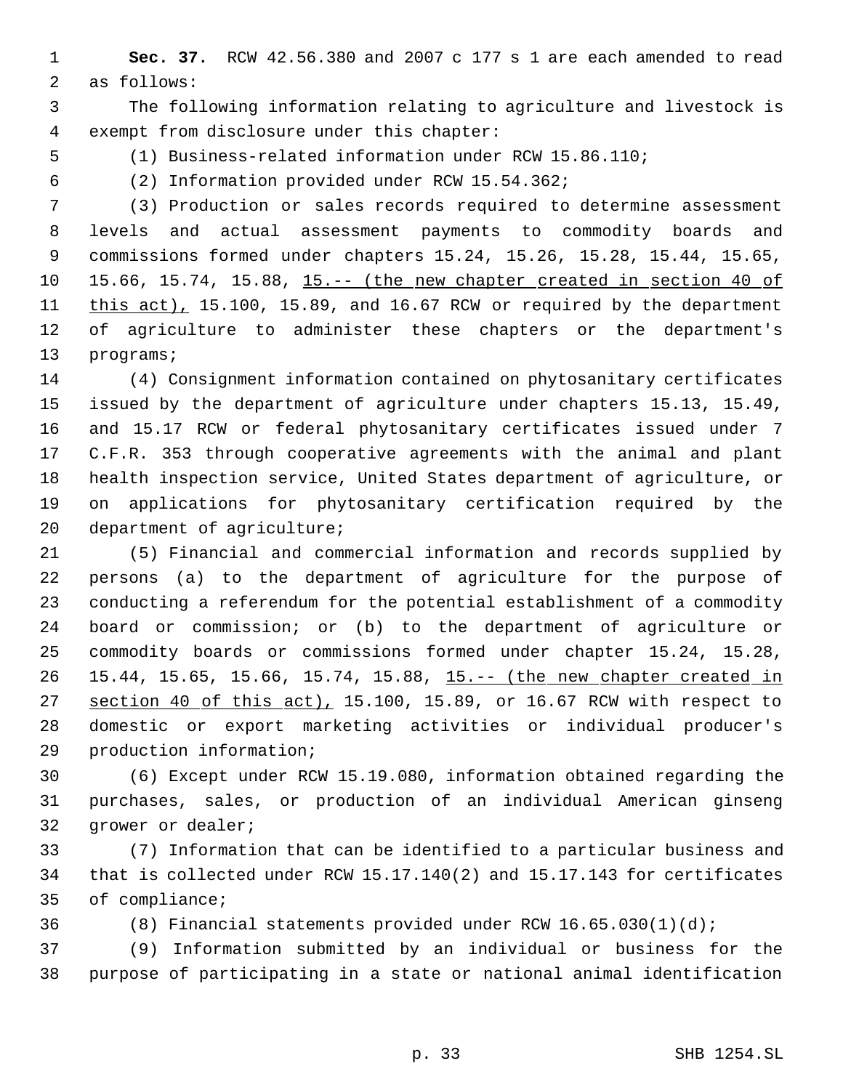**Sec. 37.** RCW 42.56.380 and 2007 c 177 s 1 are each amended to read as follows:

 The following information relating to agriculture and livestock is exempt from disclosure under this chapter:

(1) Business-related information under RCW 15.86.110;

(2) Information provided under RCW 15.54.362;

 (3) Production or sales records required to determine assessment levels and actual assessment payments to commodity boards and commissions formed under chapters 15.24, 15.26, 15.28, 15.44, 15.65, 10 15.66, 15.74, 15.88, 15.-- (the new chapter created in section 40 of 11 this act), 15.100, 15.89, and 16.67 RCW or required by the department of agriculture to administer these chapters or the department's programs;

 (4) Consignment information contained on phytosanitary certificates issued by the department of agriculture under chapters 15.13, 15.49, and 15.17 RCW or federal phytosanitary certificates issued under 7 C.F.R. 353 through cooperative agreements with the animal and plant health inspection service, United States department of agriculture, or on applications for phytosanitary certification required by the 20 department of agriculture;

 (5) Financial and commercial information and records supplied by persons (a) to the department of agriculture for the purpose of conducting a referendum for the potential establishment of a commodity board or commission; or (b) to the department of agriculture or commodity boards or commissions formed under chapter 15.24, 15.28, 26 15.44, 15.65, 15.66, 15.74, 15.88, 15.-- (the new chapter created in 27 section 40 of this act), 15.100, 15.89, or 16.67 RCW with respect to domestic or export marketing activities or individual producer's production information;

 (6) Except under RCW 15.19.080, information obtained regarding the purchases, sales, or production of an individual American ginseng grower or dealer;

 (7) Information that can be identified to a particular business and that is collected under RCW 15.17.140(2) and 15.17.143 for certificates of compliance;

(8) Financial statements provided under RCW 16.65.030(1)(d);

 (9) Information submitted by an individual or business for the purpose of participating in a state or national animal identification